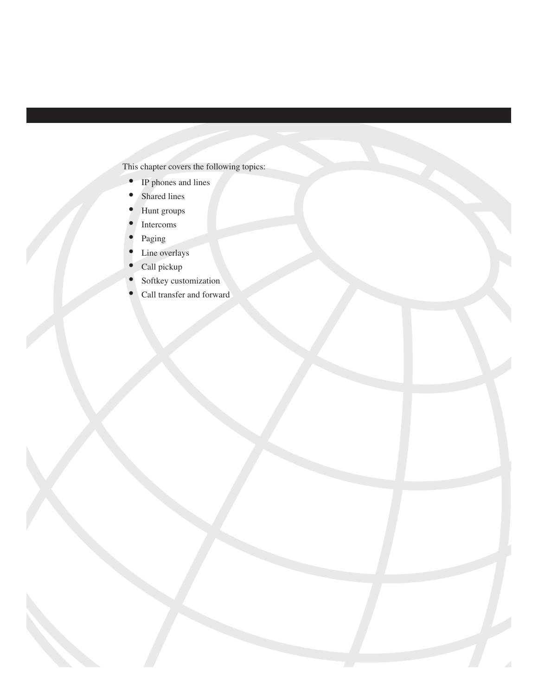This chapter covers the following topics:

- IP phones and lines
- Shared lines
- Hunt groups
- **Intercoms**
- Paging
- Line overlays
- Call pickup
- Softkey customization
- Call transfer and forward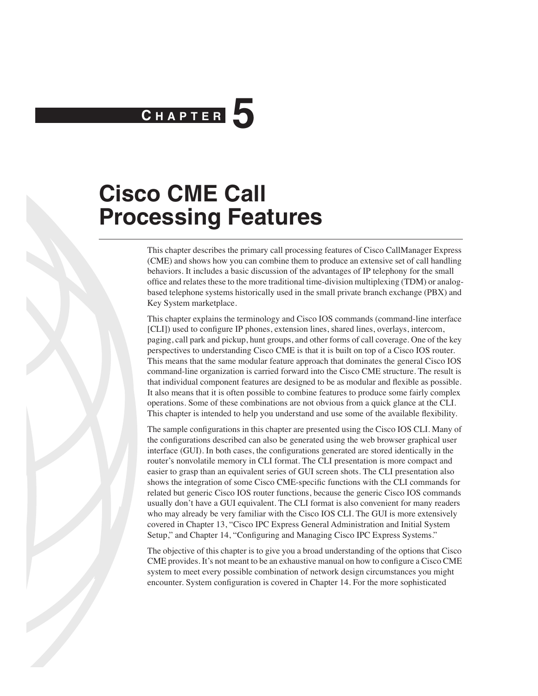# **C H <sup>A</sup> <sup>P</sup> <sup>T</sup> <sup>E</sup> <sup>R</sup> 5**

## **Cisco CME Call Processing Features**

This chapter describes the primary call processing features of Cisco CallManager Express (CME) and shows how you can combine them to produce an extensive set of call handling behaviors. It includes a basic discussion of the advantages of IP telephony for the small office and relates these to the more traditional time-division multiplexing (TDM) or analogbased telephone systems historically used in the small private branch exchange (PBX) and Key System marketplace.

This chapter explains the terminology and Cisco IOS commands (command-line interface [CLI]) used to configure IP phones, extension lines, shared lines, overlays, intercom, paging, call park and pickup, hunt groups, and other forms of call coverage. One of the key perspectives to understanding Cisco CME is that it is built on top of a Cisco IOS router. This means that the same modular feature approach that dominates the general Cisco IOS command-line organization is carried forward into the Cisco CME structure. The result is that individual component features are designed to be as modular and flexible as possible. It also means that it is often possible to combine features to produce some fairly complex operations. Some of these combinations are not obvious from a quick glance at the CLI. This chapter is intended to help you understand and use some of the available flexibility.

The sample configurations in this chapter are presented using the Cisco IOS CLI. Many of the configurations described can also be generated using the web browser graphical user interface (GUI). In both cases, the configurations generated are stored identically in the router's nonvolatile memory in CLI format. The CLI presentation is more compact and easier to grasp than an equivalent series of GUI screen shots. The CLI presentation also shows the integration of some Cisco CME-specific functions with the CLI commands for related but generic Cisco IOS router functions, because the generic Cisco IOS commands usually don't have a GUI equivalent. The CLI format is also convenient for many readers who may already be very familiar with the Cisco IOS CLI. The GUI is more extensively covered in Chapter 13, "Cisco IPC Express General Administration and Initial System Setup," and Chapter 14, "Configuring and Managing Cisco IPC Express Systems."

The objective of this chapter is to give you a broad understanding of the options that Cisco CME provides. It's not meant to be an exhaustive manual on how to configure a Cisco CME system to meet every possible combination of network design circumstances you might encounter. System configuration is covered in Chapter 14. For the more sophisticated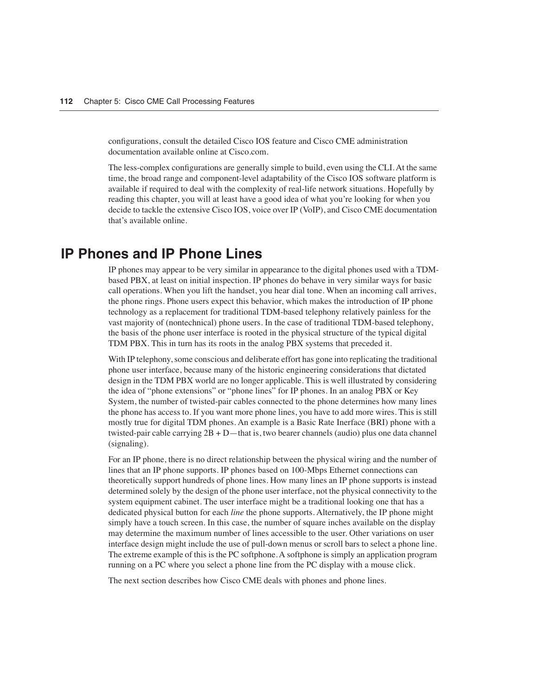configurations, consult the detailed Cisco IOS feature and Cisco CME administration documentation available online at Cisco.com.

The less-complex configurations are generally simple to build, even using the CLI. At the same time, the broad range and component-level adaptability of the Cisco IOS software platform is available if required to deal with the complexity of real-life network situations. Hopefully by reading this chapter, you will at least have a good idea of what you're looking for when you decide to tackle the extensive Cisco IOS, voice over IP (VoIP), and Cisco CME documentation that's available online.

## **IP Phones and IP Phone Lines**

IP phones may appear to be very similar in appearance to the digital phones used with a TDMbased PBX, at least on initial inspection. IP phones do behave in very similar ways for basic call operations. When you lift the handset, you hear dial tone. When an incoming call arrives, the phone rings. Phone users expect this behavior, which makes the introduction of IP phone technology as a replacement for traditional TDM-based telephony relatively painless for the vast majority of (nontechnical) phone users. In the case of traditional TDM-based telephony, the basis of the phone user interface is rooted in the physical structure of the typical digital TDM PBX. This in turn has its roots in the analog PBX systems that preceded it.

With IP telephony, some conscious and deliberate effort has gone into replicating the traditional phone user interface, because many of the historic engineering considerations that dictated design in the TDM PBX world are no longer applicable. This is well illustrated by considering the idea of "phone extensions" or "phone lines" for IP phones. In an analog PBX or Key System, the number of twisted-pair cables connected to the phone determines how many lines the phone has access to. If you want more phone lines, you have to add more wires. This is still mostly true for digital TDM phones. An example is a Basic Rate Inerface (BRI) phone with a twisted-pair cable carrying 2B + D—that is, two bearer channels (audio) plus one data channel (signaling).

For an IP phone, there is no direct relationship between the physical wiring and the number of lines that an IP phone supports. IP phones based on 100-Mbps Ethernet connections can theoretically support hundreds of phone lines. How many lines an IP phone supports is instead determined solely by the design of the phone user interface, not the physical connectivity to the system equipment cabinet. The user interface might be a traditional looking one that has a dedicated physical button for each *line* the phone supports. Alternatively, the IP phone might simply have a touch screen. In this case, the number of square inches available on the display may determine the maximum number of lines accessible to the user. Other variations on user interface design might include the use of pull-down menus or scroll bars to select a phone line. The extreme example of this is the PC softphone. A softphone is simply an application program running on a PC where you select a phone line from the PC display with a mouse click.

The next section describes how Cisco CME deals with phones and phone lines.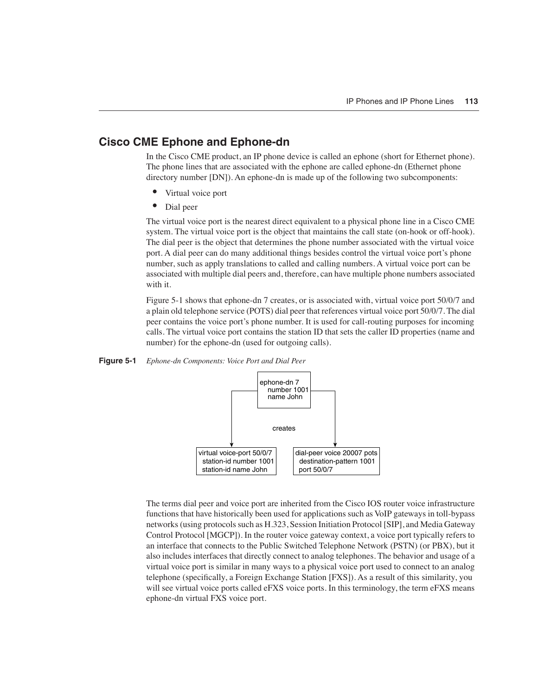#### **Cisco CME Ephone and Ephone-dn**

In the Cisco CME product, an IP phone device is called an ephone (short for Ethernet phone). The phone lines that are associated with the ephone are called ephone-dn (Ethernet phone directory number [DN]). An ephone-dn is made up of the following two subcomponents:

- Virtual voice port
- Dial peer

The virtual voice port is the nearest direct equivalent to a physical phone line in a Cisco CME system. The virtual voice port is the object that maintains the call state (on-hook or off-hook). The dial peer is the object that determines the phone number associated with the virtual voice port. A dial peer can do many additional things besides control the virtual voice port's phone number, such as apply translations to called and calling numbers. A virtual voice port can be associated with multiple dial peers and, therefore, can have multiple phone numbers associated with it.

Figure 5-1 shows that ephone-dn 7 creates, or is associated with, virtual voice port 50/0/7 and a plain old telephone service (POTS) dial peer that references virtual voice port 50/0/7. The dial peer contains the voice port's phone number. It is used for call-routing purposes for incoming calls. The virtual voice port contains the station ID that sets the caller ID properties (name and number) for the ephone-dn (used for outgoing calls).

#### **Figure 5-1** *Ephone-dn Components: Voice Port and Dial Peer*



The terms dial peer and voice port are inherited from the Cisco IOS router voice infrastructure functions that have historically been used for applications such as VoIP gateways in toll-bypass networks (using protocols such as H.323, Session Initiation Protocol [SIP], and Media Gateway Control Protocol [MGCP]). In the router voice gateway context, a voice port typically refers to an interface that connects to the Public Switched Telephone Network (PSTN) (or PBX), but it also includes interfaces that directly connect to analog telephones. The behavior and usage of a virtual voice port is similar in many ways to a physical voice port used to connect to an analog telephone (specifically, a Foreign Exchange Station [FXS]). As a result of this similarity, you will see virtual voice ports called eFXS voice ports. In this terminology, the term eFXS means ephone-dn virtual FXS voice port.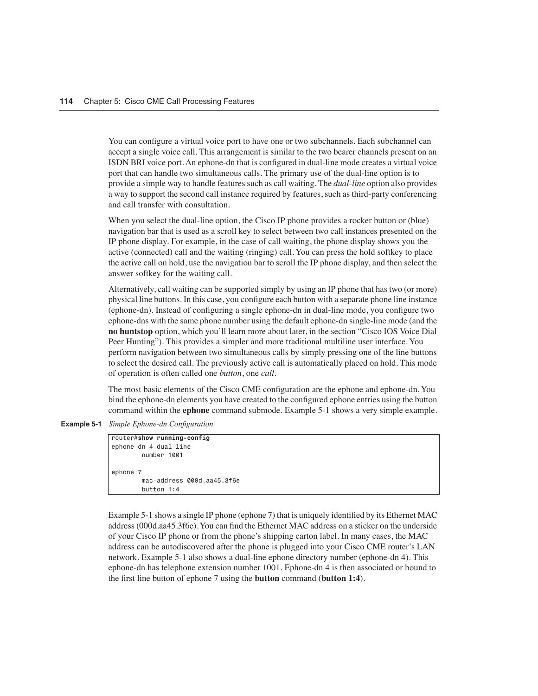You can configure a virtual voice port to have one or two subchannels. Each subchannel can accept a single voice call. This arrangement is similar to the two bearer channels present on an ISDN BRI voice port. An ephone-dn that is configured in dual-line mode creates a virtual voice port that can handle two simultaneous calls. The primary use of the dual-line option is to provide a simple way to handle features such as call waiting. The *dual-line* option also provides a way to support the second call instance required by features, such as third-party conferencing and call transfer with consultation.

When you select the dual-line option, the Cisco IP phone provides a rocker button or (blue) navigation bar that is used as a scroll key to select between two call instances presented on the IP phone display. For example, in the case of call waiting, the phone display shows you the active (connected) call and the waiting (ringing) call. You can press the hold softkey to place the active call on hold, use the navigation bar to scroll the IP phone display, and then select the answer softkey for the waiting call.

Alternatively, call waiting can be supported simply by using an IP phone that has two (or more) physical line buttons. In this case, you configure each button with a separate phone line instance (ephone-dn). Instead of configuring a single ephone-dn in dual-line mode, you configure two ephone-dns with the same phone number using the default ephone-dn single-line mode (and the **no huntstop** option, which you'll learn more about later, in the section "Cisco IOS Voice Dial Peer Hunting"). This provides a simpler and more traditional multiline user interface. You perform navigation between two simultaneous calls by simply pressing one of the line buttons to select the desired call. The previously active call is automatically placed on hold. This mode of operation is often called one *button*, one *call*.

The most basic elements of the Cisco CME configuration are the ephone and ephone-dn. You bind the ephone-dn elements you have created to the configured ephone entries using the button command within the **ephone** command submode. Example 5-1 shows a very simple example.

**Example 5-1** *Simple Ephone-dn Configuration*

```
router#show running-config
ephone-dn 4 dual-line
         number 1001
ephone 7
         mac-address 000d.aa45.3f6e
         button 1:4
```
Example 5-1 shows a single IP phone (ephone 7) that is uniquely identified by its Ethernet MAC address (000d.aa45.3f6e). You can find the Ethernet MAC address on a sticker on the underside of your Cisco IP phone or from the phone's shipping carton label. In many cases, the MAC address can be autodiscovered after the phone is plugged into your Cisco CME router's LAN network. Example 5-1 also shows a dual-line ephone directory number (ephone-dn 4). This ephone-dn has telephone extension number 1001. Ephone-dn 4 is then associated or bound to the first line button of ephone 7 using the **button** command (**button 1:4**).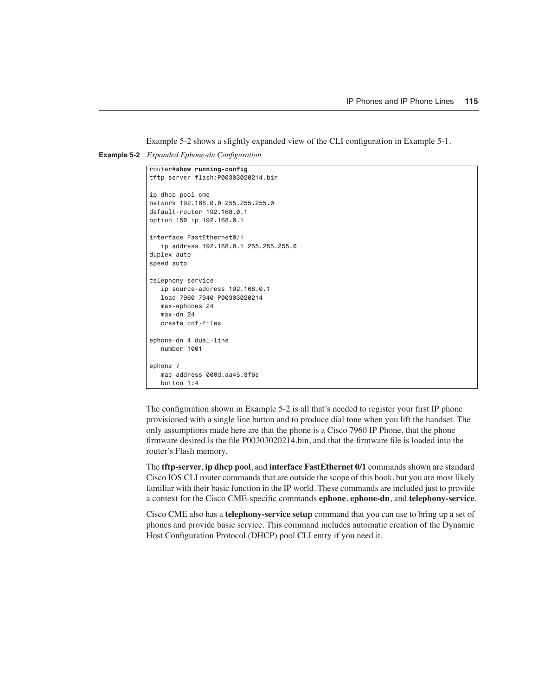Example 5-2 shows a slightly expanded view of the CLI configuration in Example 5-1.

**Example 5-2** *Expanded Ephone-dn Configuration*

```
router#show running-config
tftp-server flash:P00303020214.bin
ip dhcp pool cme
network 192.168.0.0 255.255.255.0
default-router 192.168.0.1
option 150 ip 192.168.0.1
interface FastEthernet0/1
    ip address 192.168.0.1 255.255.255.0
duplex auto
speed auto
telephony-service
   ip source-address 192.168.0.1
   load 7960-7940 P00303020214
    max-ephones 24
   max-dn 24
   create cnf-files
ephone-dn 4 dual-line
   number 1001
ephone 7
   mac-address 000d.aa45.3f6e
    button 1:4
```
The configuration shown in Example 5-2 is all that's needed to register your first IP phone provisioned with a single line button and to produce dial tone when you lift the handset. The only assumptions made here are that the phone is a Cisco 7960 IP Phone, that the phone firmware desired is the file P00303020214.bin, and that the firmware file is loaded into the router's Flash memory.

The **tftp-server**, **ip dhcp pool**, and **interface FastEthernet 0/1** commands shown are standard Cisco IOS CLI router commands that are outside the scope of this book, but you are most likely familiar with their basic function in the IP world. These commands are included just to provide a context for the Cisco CME-specific commands **ephone**, **ephone-dn**, and **telephony-service**.

Cisco CME also has a **telephony-service setup** command that you can use to bring up a set of phones and provide basic service. This command includes automatic creation of the Dynamic Host Configuration Protocol (DHCP) pool CLI entry if you need it.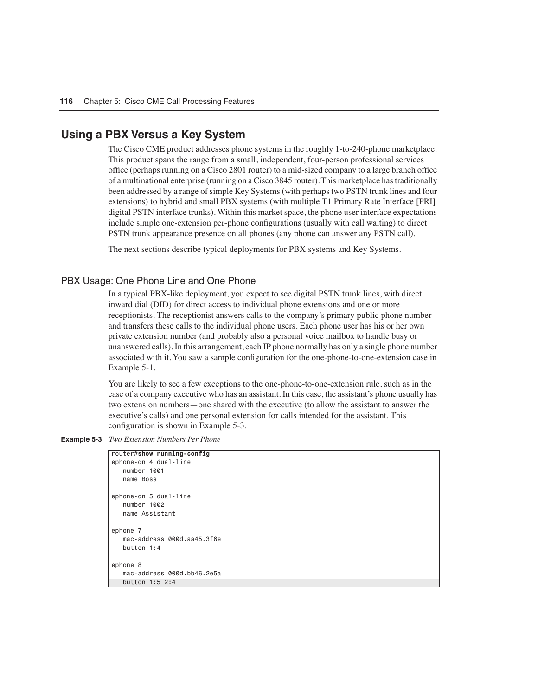#### **Using a PBX Versus a Key System**

The Cisco CME product addresses phone systems in the roughly 1-to-240-phone marketplace. This product spans the range from a small, independent, four-person professional services office (perhaps running on a Cisco 2801 router) to a mid-sized company to a large branch office of a multinational enterprise (running on a Cisco 3845 router). This marketplace has traditionally been addressed by a range of simple Key Systems (with perhaps two PSTN trunk lines and four extensions) to hybrid and small PBX systems (with multiple T1 Primary Rate Interface [PRI] digital PSTN interface trunks). Within this market space, the phone user interface expectations include simple one-extension per-phone configurations (usually with call waiting) to direct PSTN trunk appearance presence on all phones (any phone can answer any PSTN call).

The next sections describe typical deployments for PBX systems and Key Systems.

#### PBX Usage: One Phone Line and One Phone

In a typical PBX-like deployment, you expect to see digital PSTN trunk lines, with direct inward dial (DID) for direct access to individual phone extensions and one or more receptionists. The receptionist answers calls to the company's primary public phone number and transfers these calls to the individual phone users. Each phone user has his or her own private extension number (and probably also a personal voice mailbox to handle busy or unanswered calls). In this arrangement, each IP phone normally has only a single phone number associated with it. You saw a sample configuration for the one-phone-to-one-extension case in Example 5-1.

You are likely to see a few exceptions to the one-phone-to-one-extension rule, such as in the case of a company executive who has an assistant. In this case, the assistant's phone usually has two extension numbers—one shared with the executive (to allow the assistant to answer the executive's calls) and one personal extension for calls intended for the assistant. This configuration is shown in Example 5-3.

**Example 5-3** *Two Extension Numbers Per Phone*

```
router#show running-config
ephone-dn 4 dual-line
   number 1001
    name Boss
ephone-dn 5 dual-line
   number 1002
   name Assistant
ephone 7
   mac-address 000d.aa45.3f6e
    button 1:4
ephone 8
    mac-address 000d.bb46.2e5a
    button 1:5 2:4
```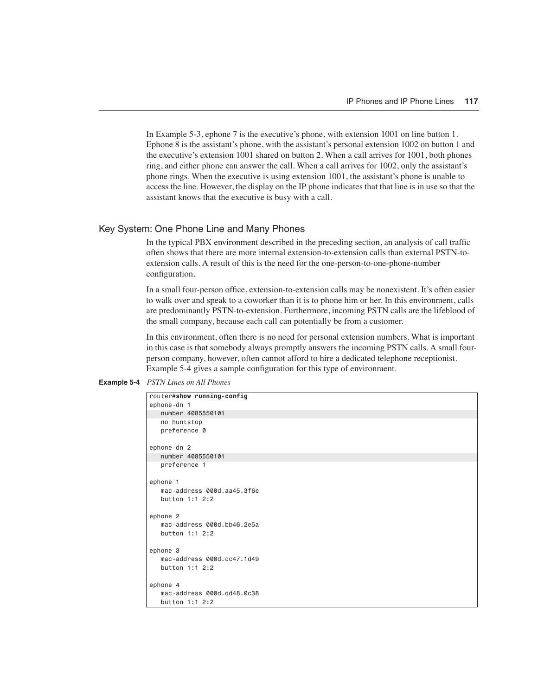In Example 5-3, ephone 7 is the executive's phone, with extension 1001 on line button 1. Ephone 8 is the assistant's phone, with the assistant's personal extension 1002 on button 1 and the executive's extension 1001 shared on button 2. When a call arrives for 1001, both phones ring, and either phone can answer the call. When a call arrives for 1002, only the assistant's phone rings. When the executive is using extension 1001, the assistant's phone is unable to access the line. However, the display on the IP phone indicates that that line is in use so that the assistant knows that the executive is busy with a call.

#### Key System: One Phone Line and Many Phones

In the typical PBX environment described in the preceding section, an analysis of call traffic often shows that there are more internal extension-to-extension calls than external PSTN-toextension calls. A result of this is the need for the one-person-to-one-phone-number configuration.

In a small four-person office, extension-to-extension calls may be nonexistent. It's often easier to walk over and speak to a coworker than it is to phone him or her. In this environment, calls are predominantly PSTN-to-extension. Furthermore, incoming PSTN calls are the lifeblood of the small company, because each call can potentially be from a customer.

In this environment, often there is no need for personal extension numbers. What is important in this case is that somebody always promptly answers the incoming PSTN calls. A small fourperson company, however, often cannot afford to hire a dedicated telephone receptionist. Example 5-4 gives a sample configuration for this type of environment.

```
Example 5-4 PSTN Lines on All Phones
```

| router#show running-config |  |
|----------------------------|--|
| ephone-dn 1                |  |
| number 4085550101          |  |
| no huntstop                |  |
| preference 0               |  |
| ephone-dn 2                |  |
| number 4085550101          |  |
| preference 1               |  |
| ephone 1                   |  |
| mac-address 000d.aa45.3f6e |  |
| button $1:1$ 2:2           |  |
| ephone 2                   |  |
| mac-address 000d.bb46.2e5a |  |
| button 1:1 2:2             |  |
| ephone 3                   |  |
| mac-address 000d.cc47.1d49 |  |
| button $1:1$ 2:2           |  |
| ephone 4                   |  |
| mac-address 000d.dd48.0c38 |  |
| button 1:1 2:2             |  |
|                            |  |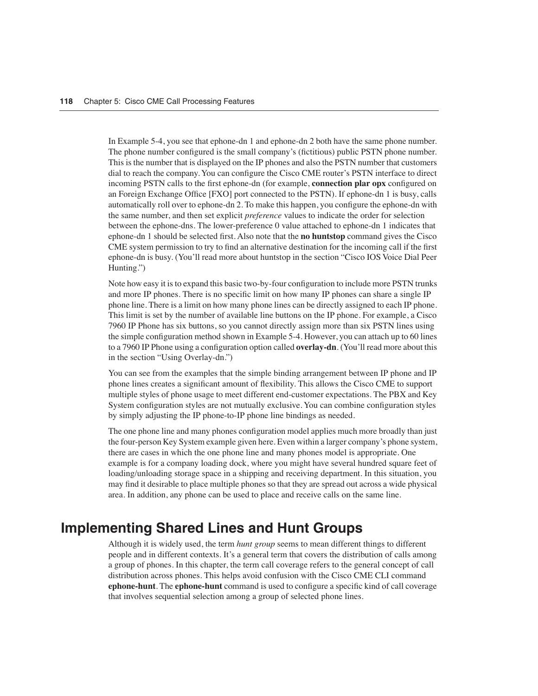In Example 5-4, you see that ephone-dn 1 and ephone-dn 2 both have the same phone number. The phone number configured is the small company's (fictitious) public PSTN phone number. This is the number that is displayed on the IP phones and also the PSTN number that customers dial to reach the company. You can configure the Cisco CME router's PSTN interface to direct incoming PSTN calls to the first ephone-dn (for example, **connection plar opx** configured on an Foreign Exchange Office [FXO] port connected to the PSTN). If ephone-dn 1 is busy, calls automatically roll over to ephone-dn 2. To make this happen, you configure the ephone-dn with the same number, and then set explicit *preference* values to indicate the order for selection between the ephone-dns. The lower-preference 0 value attached to ephone-dn 1 indicates that ephone-dn 1 should be selected first. Also note that the **no huntstop** command gives the Cisco CME system permission to try to find an alternative destination for the incoming call if the first ephone-dn is busy. (You'll read more about huntstop in the section "Cisco IOS Voice Dial Peer Hunting.")

Note how easy it is to expand this basic two-by-four configuration to include more PSTN trunks and more IP phones. There is no specific limit on how many IP phones can share a single IP phone line. There is a limit on how many phone lines can be directly assigned to each IP phone. This limit is set by the number of available line buttons on the IP phone. For example, a Cisco 7960 IP Phone has six buttons, so you cannot directly assign more than six PSTN lines using the simple configuration method shown in Example 5-4. However, you can attach up to 60 lines to a 7960 IP Phone using a configuration option called **overlay-dn**. (You'll read more about this in the section "Using Overlay-dn.")

You can see from the examples that the simple binding arrangement between IP phone and IP phone lines creates a significant amount of flexibility. This allows the Cisco CME to support multiple styles of phone usage to meet different end-customer expectations. The PBX and Key System configuration styles are not mutually exclusive. You can combine configuration styles by simply adjusting the IP phone-to-IP phone line bindings as needed.

The one phone line and many phones configuration model applies much more broadly than just the four-person Key System example given here. Even within a larger company's phone system, there are cases in which the one phone line and many phones model is appropriate. One example is for a company loading dock, where you might have several hundred square feet of loading/unloading storage space in a shipping and receiving department. In this situation, you may find it desirable to place multiple phones so that they are spread out across a wide physical area. In addition, any phone can be used to place and receive calls on the same line.

## **Implementing Shared Lines and Hunt Groups**

Although it is widely used, the term *hunt group* seems to mean different things to different people and in different contexts. It's a general term that covers the distribution of calls among a group of phones. In this chapter, the term call coverage refers to the general concept of call distribution across phones. This helps avoid confusion with the Cisco CME CLI command **ephone-hunt**. The **ephone-hunt** command is used to configure a specific kind of call coverage that involves sequential selection among a group of selected phone lines.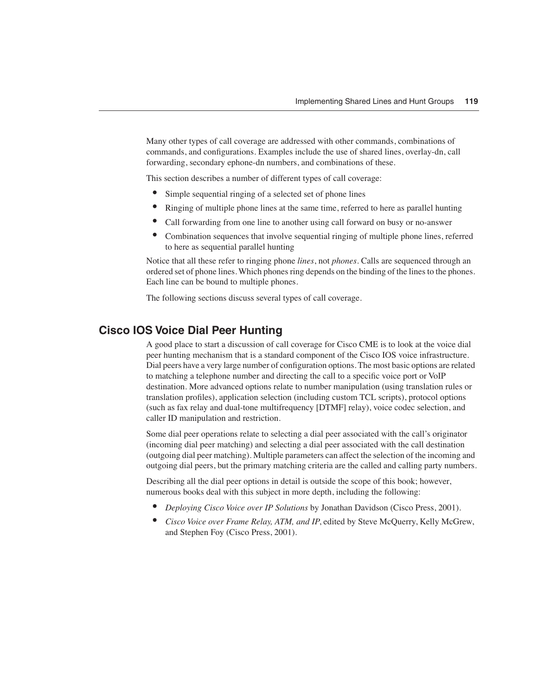Many other types of call coverage are addressed with other commands, combinations of commands, and configurations. Examples include the use of shared lines, overlay-dn, call forwarding, secondary ephone-dn numbers, and combinations of these.

This section describes a number of different types of call coverage:

- Simple sequential ringing of a selected set of phone lines
- Ringing of multiple phone lines at the same time, referred to here as parallel hunting
- Call forwarding from one line to another using call forward on busy or no-answer
- Combination sequences that involve sequential ringing of multiple phone lines, referred to here as sequential parallel hunting

Notice that all these refer to ringing phone *lines*, not *phones*. Calls are sequenced through an ordered set of phone lines. Which phones ring depends on the binding of the lines to the phones. Each line can be bound to multiple phones.

The following sections discuss several types of call coverage.

#### **Cisco IOS Voice Dial Peer Hunting**

A good place to start a discussion of call coverage for Cisco CME is to look at the voice dial peer hunting mechanism that is a standard component of the Cisco IOS voice infrastructure. Dial peers have a very large number of configuration options. The most basic options are related to matching a telephone number and directing the call to a specific voice port or VoIP destination. More advanced options relate to number manipulation (using translation rules or translation profiles), application selection (including custom TCL scripts), protocol options (such as fax relay and dual-tone multifrequency [DTMF] relay), voice codec selection, and caller ID manipulation and restriction.

Some dial peer operations relate to selecting a dial peer associated with the call's originator (incoming dial peer matching) and selecting a dial peer associated with the call destination (outgoing dial peer matching). Multiple parameters can affect the selection of the incoming and outgoing dial peers, but the primary matching criteria are the called and calling party numbers.

Describing all the dial peer options in detail is outside the scope of this book; however, numerous books deal with this subject in more depth, including the following:

- *Deploying Cisco Voice over IP Solutions* by Jonathan Davidson (Cisco Press, 2001).
- *Cisco Voice over Frame Relay, ATM, and IP*, edited by Steve McQuerry, Kelly McGrew, and Stephen Foy (Cisco Press, 2001).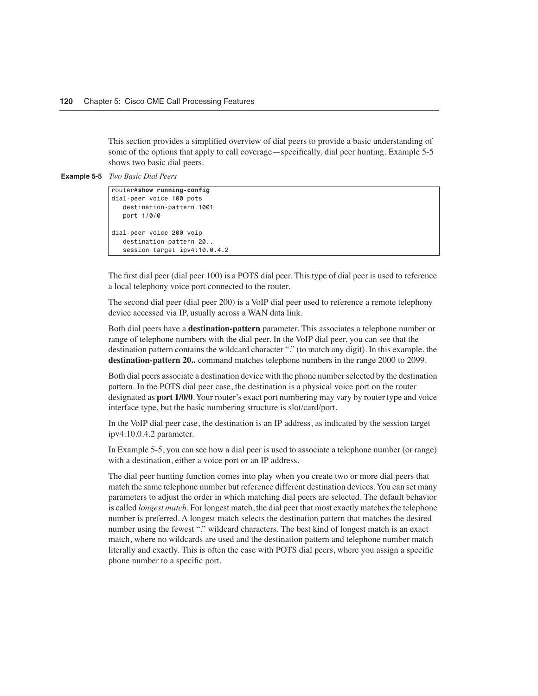This section provides a simplified overview of dial peers to provide a basic understanding of some of the options that apply to call coverage—specifically, dial peer hunting. Example 5-5 shows two basic dial peers.

**Example 5-5** *Two Basic Dial Peers*

```
router#show running-config
dial-peer voice 100 pots
    destination-pattern 1001
    port 1/0/0
dial-peer voice 200 voip
    destination-pattern 20..
    session target ipv4:10.0.4.2
```
The first dial peer (dial peer 100) is a POTS dial peer. This type of dial peer is used to reference a local telephony voice port connected to the router.

The second dial peer (dial peer 200) is a VoIP dial peer used to reference a remote telephony device accessed via IP, usually across a WAN data link.

Both dial peers have a **destination-pattern** parameter. This associates a telephone number or range of telephone numbers with the dial peer. In the VoIP dial peer, you can see that the destination pattern contains the wildcard character "." (to match any digit). In this example, the **destination-pattern 20..** command matches telephone numbers in the range 2000 to 2099.

Both dial peers associate a destination device with the phone number selected by the destination pattern. In the POTS dial peer case, the destination is a physical voice port on the router designated as **port 1/0/0**. Your router's exact port numbering may vary by router type and voice interface type, but the basic numbering structure is slot/card/port.

In the VoIP dial peer case, the destination is an IP address, as indicated by the session target ipv4:10.0.4.2 parameter.

In Example 5-5, you can see how a dial peer is used to associate a telephone number (or range) with a destination, either a voice port or an IP address.

The dial peer hunting function comes into play when you create two or more dial peers that match the same telephone number but reference different destination devices. You can set many parameters to adjust the order in which matching dial peers are selected. The default behavior is called *longest match*. For longest match, the dial peer that most exactly matches the telephone number is preferred. A longest match selects the destination pattern that matches the desired number using the fewest "." wildcard characters. The best kind of longest match is an exact match, where no wildcards are used and the destination pattern and telephone number match literally and exactly. This is often the case with POTS dial peers, where you assign a specific phone number to a specific port.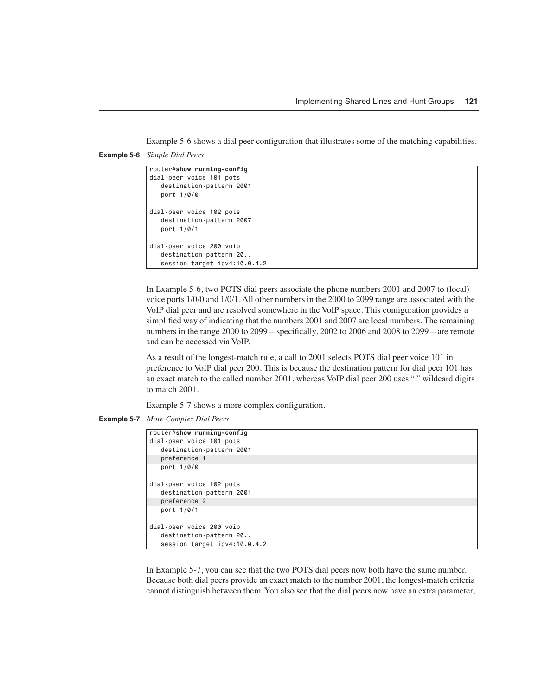Example 5-6 shows a dial peer configuration that illustrates some of the matching capabilities.

**Example 5-6** *Simple Dial Peers*

```
router#show running-config
dial-peer voice 101 pots
   destination-pattern 2001
    port 1/0/0
dial-peer voice 102 pots
   destination-pattern 2007
    port 1/0/1
dial-peer voice 200 voip
    destination-pattern 20..
    session target ipv4:10.0.4.2
```
In Example 5-6, two POTS dial peers associate the phone numbers 2001 and 2007 to (local) voice ports 1/0/0 and 1/0/1. All other numbers in the 2000 to 2099 range are associated with the VoIP dial peer and are resolved somewhere in the VoIP space. This configuration provides a simplified way of indicating that the numbers 2001 and 2007 are local numbers. The remaining numbers in the range 2000 to 2099—specifically, 2002 to 2006 and 2008 to 2099—are remote and can be accessed via VoIP.

As a result of the longest-match rule, a call to 2001 selects POTS dial peer voice 101 in preference to VoIP dial peer 200. This is because the destination pattern for dial peer 101 has an exact match to the called number 2001, whereas VoIP dial peer 200 uses "." wildcard digits to match 2001.

Example 5-7 shows a more complex configuration.

**Example 5-7** *More Complex Dial Peers*

```
router#show running-config
dial-peer voice 101 pots
    destination-pattern 2001
   preference 1
   port 1/0/0
dial-peer voice 102 pots
   destination-pattern 2001
    preference 2
    port 1/0/1
dial-peer voice 200 voip
    destination-pattern 20..
    session target ipv4:10.0.4.2
```
In Example 5-7, you can see that the two POTS dial peers now both have the same number. Because both dial peers provide an exact match to the number 2001, the longest-match criteria cannot distinguish between them. You also see that the dial peers now have an extra parameter,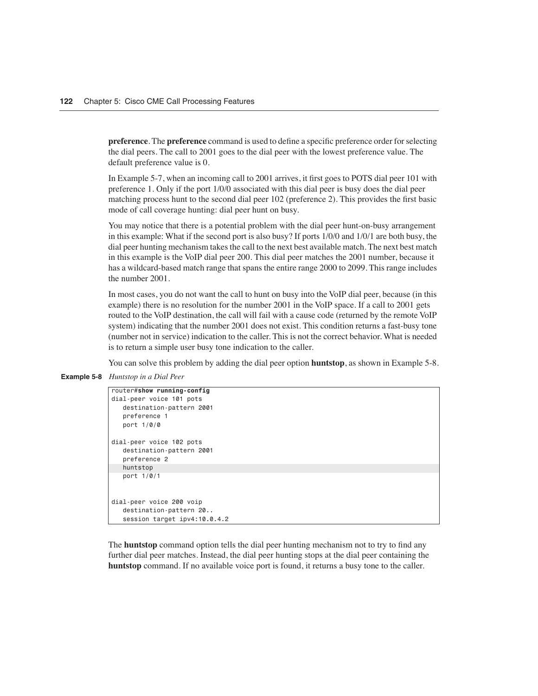**preference**. The **preference** command is used to define a specific preference order for selecting the dial peers. The call to 2001 goes to the dial peer with the lowest preference value. The default preference value is 0.

In Example 5-7, when an incoming call to 2001 arrives, it first goes to POTS dial peer 101 with preference 1. Only if the port 1/0/0 associated with this dial peer is busy does the dial peer matching process hunt to the second dial peer 102 (preference 2). This provides the first basic mode of call coverage hunting: dial peer hunt on busy.

You may notice that there is a potential problem with the dial peer hunt-on-busy arrangement in this example: What if the second port is also busy? If ports 1/0/0 and 1/0/1 are both busy, the dial peer hunting mechanism takes the call to the next best available match. The next best match in this example is the VoIP dial peer 200. This dial peer matches the 2001 number, because it has a wildcard-based match range that spans the entire range 2000 to 2099. This range includes the number 2001.

In most cases, you do not want the call to hunt on busy into the VoIP dial peer, because (in this example) there is no resolution for the number 2001 in the VoIP space. If a call to 2001 gets routed to the VoIP destination, the call will fail with a cause code (returned by the remote VoIP system) indicating that the number 2001 does not exist. This condition returns a fast-busy tone (number not in service) indication to the caller. This is not the correct behavior. What is needed is to return a simple user busy tone indication to the caller.

You can solve this problem by adding the dial peer option **huntstop**, as shown in Example 5-8.

**Example 5-8** *Huntstop in a Dial Peer*

```
router#show running-config
dial-peer voice 101 pots
    destination-pattern 2001
    preference 1
    port 1/0/0
dial-peer voice 102 pots
    destination-pattern 2001
    preference 2
    huntstop
    port 1/0/1
dial-peer voice 200 voip
    destination-pattern 20..
    session target ipv4:10.0.4.2
```
The **huntstop** command option tells the dial peer hunting mechanism not to try to find any further dial peer matches. Instead, the dial peer hunting stops at the dial peer containing the **huntstop** command. If no available voice port is found, it returns a busy tone to the caller.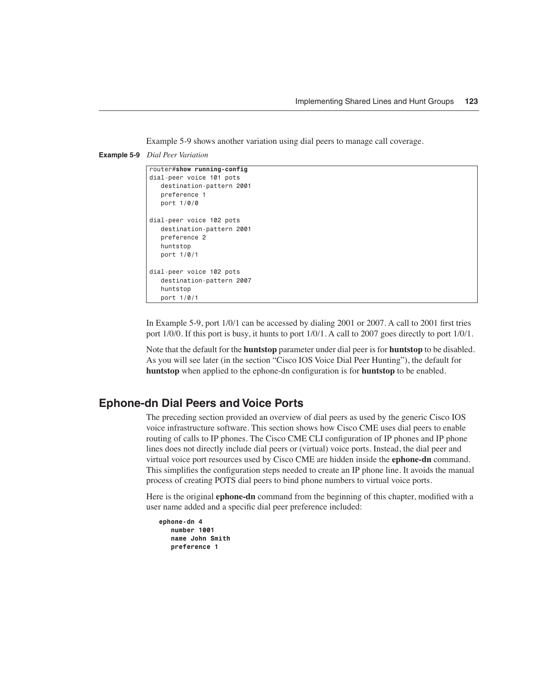Example 5-9 shows another variation using dial peers to manage call coverage.

```
Example 5-9 Dial Peer Variation
```

```
router#show running-config
dial-peer voice 101 pots
    destination-pattern 2001
    preference 1
    port 1/0/0
dial-peer voice 102 pots
    destination-pattern 2001
    preference 2
    huntstop
    port 1/0/1
dial-peer voice 102 pots
    destination-pattern 2007
    huntstop
    port 1/0/1
```
In Example 5-9, port 1/0/1 can be accessed by dialing 2001 or 2007. A call to 2001 first tries port 1/0/0. If this port is busy, it hunts to port 1/0/1. A call to 2007 goes directly to port 1/0/1.

Note that the default for the **huntstop** parameter under dial peer is for **huntstop** to be disabled. As you will see later (in the section "Cisco IOS Voice Dial Peer Hunting"), the default for **huntstop** when applied to the ephone-dn configuration is for **huntstop** to be enabled.

#### **Ephone-dn Dial Peers and Voice Ports**

The preceding section provided an overview of dial peers as used by the generic Cisco IOS voice infrastructure software. This section shows how Cisco CME uses dial peers to enable routing of calls to IP phones. The Cisco CME CLI configuration of IP phones and IP phone lines does not directly include dial peers or (virtual) voice ports. Instead, the dial peer and virtual voice port resources used by Cisco CME are hidden inside the **ephone-dn** command. This simplifies the configuration steps needed to create an IP phone line. It avoids the manual process of creating POTS dial peers to bind phone numbers to virtual voice ports.

Here is the original **ephone-dn** command from the beginning of this chapter, modified with a user name added and a specific dial peer preference included:

```
ephone-dn 4
    number 1001
    name John Smith
    preference 1
```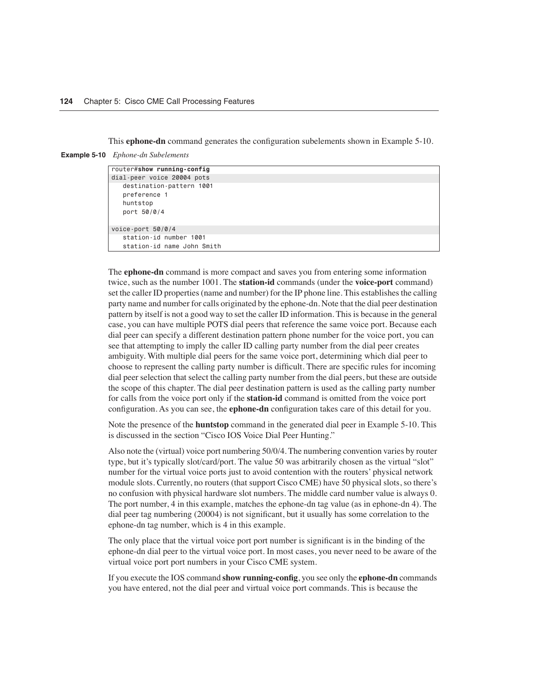This **ephone-dn** command generates the configuration subelements shown in Example 5-10.

**Example 5-10** *Ephone-dn Subelements*

| router#show running-config |  |
|----------------------------|--|
| dial-peer voice 20004 pots |  |
| destination-pattern 1001   |  |
| preference 1               |  |
| huntstop                   |  |
| port 50/0/4                |  |
|                            |  |
| voice-port $50/0/4$        |  |
| station-id number 1001     |  |
| station-id name John Smith |  |

The **ephone-dn** command is more compact and saves you from entering some information twice, such as the number 1001. The **station-id** commands (under the **voice-port** command) set the caller ID properties (name and number) for the IP phone line. This establishes the calling party name and number for calls originated by the ephone-dn. Note that the dial peer destination pattern by itself is not a good way to set the caller ID information. This is because in the general case, you can have multiple POTS dial peers that reference the same voice port. Because each dial peer can specify a different destination pattern phone number for the voice port, you can see that attempting to imply the caller ID calling party number from the dial peer creates ambiguity. With multiple dial peers for the same voice port, determining which dial peer to choose to represent the calling party number is difficult. There are specific rules for incoming dial peer selection that select the calling party number from the dial peers, but these are outside the scope of this chapter. The dial peer destination pattern is used as the calling party number for calls from the voice port only if the **station-id** command is omitted from the voice port configuration. As you can see, the **ephone-dn** configuration takes care of this detail for you.

Note the presence of the **huntstop** command in the generated dial peer in Example 5-10. This is discussed in the section "Cisco IOS Voice Dial Peer Hunting."

Also note the (virtual) voice port numbering 50/0/4. The numbering convention varies by router type, but it's typically slot/card/port. The value 50 was arbitrarily chosen as the virtual "slot" number for the virtual voice ports just to avoid contention with the routers' physical network module slots. Currently, no routers (that support Cisco CME) have 50 physical slots, so there's no confusion with physical hardware slot numbers. The middle card number value is always 0. The port number, 4 in this example, matches the ephone-dn tag value (as in ephone-dn 4). The dial peer tag numbering (20004) is not significant, but it usually has some correlation to the ephone-dn tag number, which is 4 in this example.

The only place that the virtual voice port port number is significant is in the binding of the ephone-dn dial peer to the virtual voice port. In most cases, you never need to be aware of the virtual voice port port numbers in your Cisco CME system.

If you execute the IOS command **show running-config**, you see only the **ephone-dn** commands you have entered, not the dial peer and virtual voice port commands. This is because the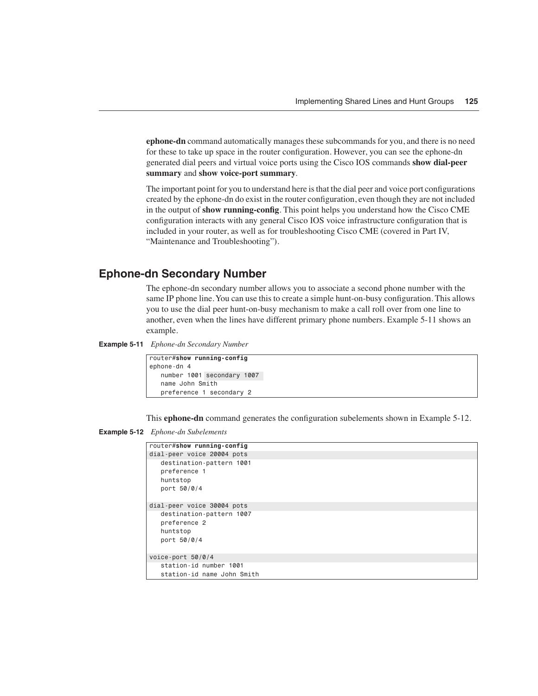**ephone-dn** command automatically manages these subcommands for you, and there is no need for these to take up space in the router configuration. However, you can see the ephone-dn generated dial peers and virtual voice ports using the Cisco IOS commands **show dial-peer summary** and **show voice-port summary**.

The important point for you to understand here is that the dial peer and voice port configurations created by the ephone-dn do exist in the router configuration, even though they are not included in the output of **show running-config**. This point helps you understand how the Cisco CME configuration interacts with any general Cisco IOS voice infrastructure configuration that is included in your router, as well as for troubleshooting Cisco CME (covered in Part IV, "Maintenance and Troubleshooting").

#### **Ephone-dn Secondary Number**

The ephone-dn secondary number allows you to associate a second phone number with the same IP phone line. You can use this to create a simple hunt-on-busy configuration. This allows you to use the dial peer hunt-on-busy mechanism to make a call roll over from one line to another, even when the lines have different primary phone numbers. Example 5-11 shows an example.

```
Example 5-11 Ephone-dn Secondary Number
```

| router#show running-config |  |                            |  |
|----------------------------|--|----------------------------|--|
| ephone-dn 4                |  |                            |  |
|                            |  | number 1001 secondary 1007 |  |
| name John Smith            |  |                            |  |
|                            |  | preference 1 secondary 2   |  |

This **ephone-dn** command generates the configuration subelements shown in Example 5-12.

```
Example 5-12 Ephone-dn Subelements
```

| router#show running-config                                          |
|---------------------------------------------------------------------|
| dial-peer voice 20004 pots                                          |
| destination-pattern 1001<br>preference 1<br>huntstop<br>port 50/0/4 |
| dial-peer voice 30004 pots                                          |
| destination-pattern 1007<br>preference 2<br>huntstop<br>port 50/0/4 |
| voice-port $50/0/4$                                                 |
| station-id number 1001<br>station-id name John Smith                |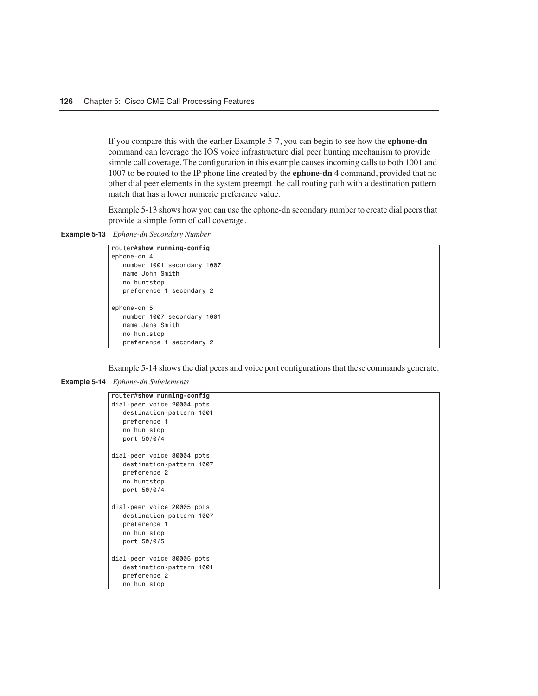If you compare this with the earlier Example 5-7, you can begin to see how the **ephone-dn** command can leverage the IOS voice infrastructure dial peer hunting mechanism to provide simple call coverage. The configuration in this example causes incoming calls to both 1001 and 1007 to be routed to the IP phone line created by the **ephone-dn 4** command, provided that no other dial peer elements in the system preempt the call routing path with a destination pattern match that has a lower numeric preference value.

Example 5-13 shows how you can use the ephone-dn secondary number to create dial peers that provide a simple form of call coverage.

**Example 5-13** *Ephone-dn Secondary Number*

```
router#show running-config
ephone-dn 4
   number 1001 secondary 1007
   name John Smith
   no huntstop
   preference 1 secondary 2
ephone-dn 5
   number 1007 secondary 1001
   name Jane Smith
    no huntstop
   preference 1 secondary 2
```
Example 5-14 shows the dial peers and voice port configurations that these commands generate.

**Example 5-14** *Ephone-dn Subelements* 

```
router#show running-config
dial-peer voice 20004 pots
   destination-pattern 1001
   preference 1
   no huntstop
   port 50/0/4
dial-peer voice 30004 pots
   destination-pattern 1007
    preference 2
   no huntstop
   port 50/0/4
dial-peer voice 20005 pots
   destination-pattern 1007
   preference 1
   no huntstop
   port 50/0/5
dial-peer voice 30005 pots
   destination-pattern 1001
   preference 2
    no huntstop
```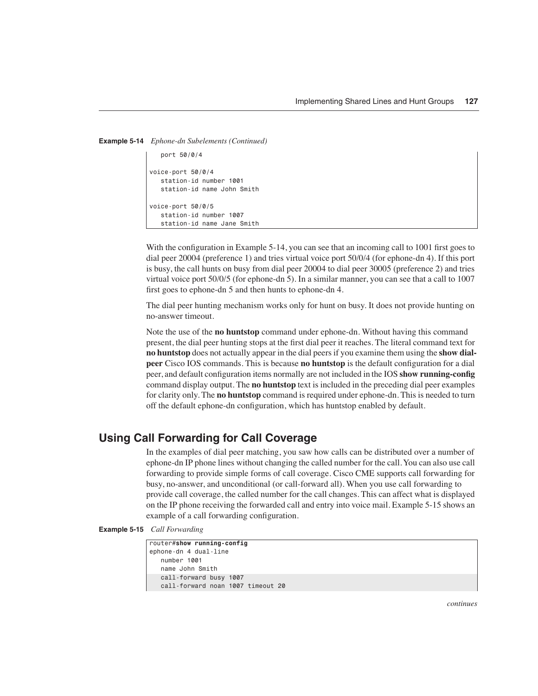```
Example 5-14 Ephone-dn Subelements (Continued)
```

```
 port 50/0/4
voice-port 50/0/4
    station-id number 1001
    station-id name John Smith
voice-port 50/0/5
    station-id number 1007
    station-id name Jane Smith
```
With the configuration in Example 5-14, you can see that an incoming call to 1001 first goes to dial peer 20004 (preference 1) and tries virtual voice port 50/0/4 (for ephone-dn 4). If this port is busy, the call hunts on busy from dial peer 20004 to dial peer 30005 (preference 2) and tries virtual voice port 50/0/5 (for ephone-dn 5). In a similar manner, you can see that a call to 1007 first goes to ephone-dn 5 and then hunts to ephone-dn 4.

The dial peer hunting mechanism works only for hunt on busy. It does not provide hunting on no-answer timeout.

Note the use of the **no huntstop** command under ephone-dn. Without having this command present, the dial peer hunting stops at the first dial peer it reaches. The literal command text for **no huntstop** does not actually appear in the dial peers if you examine them using the **show dialpeer** Cisco IOS commands. This is because **no huntstop** is the default configuration for a dial peer, and default configuration items normally are not included in the IOS **show running-config** command display output. The **no huntstop** text is included in the preceding dial peer examples for clarity only. The **no huntstop** command is required under ephone-dn. This is needed to turn off the default ephone-dn configuration, which has huntstop enabled by default.

#### **Using Call Forwarding for Call Coverage**

In the examples of dial peer matching, you saw how calls can be distributed over a number of ephone-dn IP phone lines without changing the called number for the call. You can also use call forwarding to provide simple forms of call coverage. Cisco CME supports call forwarding for busy, no-answer, and unconditional (or call-forward all). When you use call forwarding to provide call coverage, the called number for the call changes. This can affect what is displayed on the IP phone receiving the forwarded call and entry into voice mail. Example 5-15 shows an example of a call forwarding configuration.

**Example 5-15** *Call Forwarding* 

```
router#show running-config
ephone-dn 4 dual-line
   number 1001
    name John Smith
   call-forward busy 1007
    call-forward noan 1007 timeout 20
```
*continues*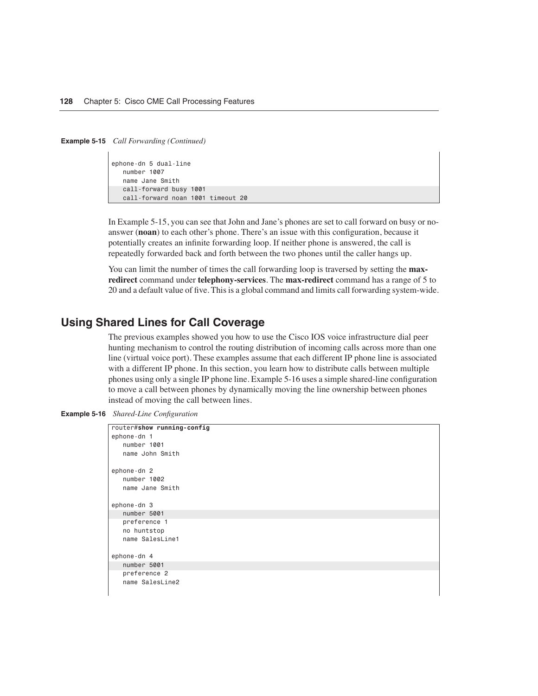**Example 5-15** *Call Forwarding (Continued)*

```
ephone-dn 5 dual-line
   number 1007
    name Jane Smith
    call-forward busy 1001
    call-forward noan 1001 timeout 20
```
In Example 5-15, you can see that John and Jane's phones are set to call forward on busy or noanswer (**noan**) to each other's phone. There's an issue with this configuration, because it potentially creates an infinite forwarding loop. If neither phone is answered, the call is repeatedly forwarded back and forth between the two phones until the caller hangs up.

You can limit the number of times the call forwarding loop is traversed by setting the **maxredirect** command under **telephony-services**. The **max-redirect** command has a range of 5 to 20 and a default value of five. This is a global command and limits call forwarding system-wide.

#### **Using Shared Lines for Call Coverage**

The previous examples showed you how to use the Cisco IOS voice infrastructure dial peer hunting mechanism to control the routing distribution of incoming calls across more than one line (virtual voice port). These examples assume that each different IP phone line is associated with a different IP phone. In this section, you learn how to distribute calls between multiple phones using only a single IP phone line. Example 5-16 uses a simple shared-line configuration to move a call between phones by dynamically moving the line ownership between phones instead of moving the call between lines.

**Example 5-16** *Shared-Line Configuration* 

| router#show running-config |
|----------------------------|
| ephone-dn 1                |
| number 1001                |
| name John Smith            |
| ephone-dn 2                |
| number 1002                |
|                            |
| name Jane Smith            |
|                            |
| ephone-dn 3                |
| number 5001                |
| preference 1               |
| no huntstop                |
| name SalesLine1            |
|                            |
| ephone-dn 4                |
| number 5001                |
| preference 2               |
| name SalesLine2            |
|                            |
|                            |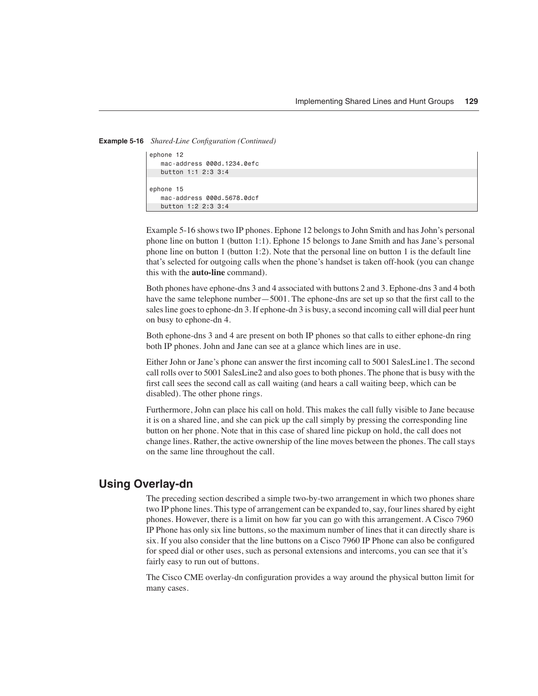**Example 5-16** *Shared-Line Configuration (Continued)*

```
ephone 12
    mac-address 000d.1234.0efc
    button 1:1 2:3 3:4
ephone 15
    mac-address 000d.5678.0dcf
    button 1:2 2:3 3:4
```
Example 5-16 shows two IP phones. Ephone 12 belongs to John Smith and has John's personal phone line on button 1 (button 1:1). Ephone 15 belongs to Jane Smith and has Jane's personal phone line on button 1 (button 1:2). Note that the personal line on button 1 is the default line that's selected for outgoing calls when the phone's handset is taken off-hook (you can change this with the **auto-line** command).

Both phones have ephone-dns 3 and 4 associated with buttons 2 and 3. Ephone-dns 3 and 4 both have the same telephone number—5001. The ephone-dns are set up so that the first call to the sales line goes to ephone-dn 3. If ephone-dn 3 is busy, a second incoming call will dial peer hunt on busy to ephone-dn 4.

Both ephone-dns 3 and 4 are present on both IP phones so that calls to either ephone-dn ring both IP phones. John and Jane can see at a glance which lines are in use.

Either John or Jane's phone can answer the first incoming call to 5001 SalesLine1. The second call rolls over to 5001 SalesLine2 and also goes to both phones. The phone that is busy with the first call sees the second call as call waiting (and hears a call waiting beep, which can be disabled). The other phone rings.

Furthermore, John can place his call on hold. This makes the call fully visible to Jane because it is on a shared line, and she can pick up the call simply by pressing the corresponding line button on her phone. Note that in this case of shared line pickup on hold, the call does not change lines. Rather, the active ownership of the line moves between the phones. The call stays on the same line throughout the call.

#### **Using Overlay-dn**

The preceding section described a simple two-by-two arrangement in which two phones share two IP phone lines. This type of arrangement can be expanded to, say, four lines shared by eight phones. However, there is a limit on how far you can go with this arrangement. A Cisco 7960 IP Phone has only six line buttons, so the maximum number of lines that it can directly share is six. If you also consider that the line buttons on a Cisco 7960 IP Phone can also be configured for speed dial or other uses, such as personal extensions and intercoms, you can see that it's fairly easy to run out of buttons.

The Cisco CME overlay-dn configuration provides a way around the physical button limit for many cases.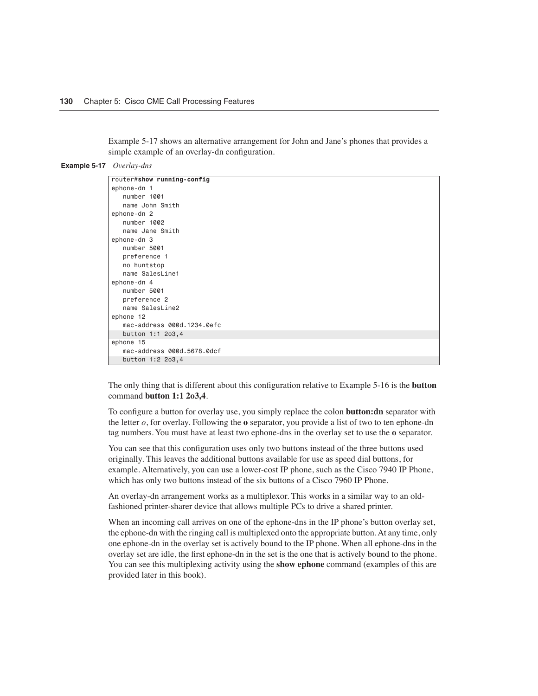Example 5-17 shows an alternative arrangement for John and Jane's phones that provides a simple example of an overlay-dn configuration.

```
Example 5-17 Overlay-dns
```

| router#show running-config |
|----------------------------|
| ephone-dn 1                |
| number 1001                |
| name John Smith            |
| ephone-dn 2                |
| number 1002                |
| name Jane Smith            |
| ephone-dn 3                |
| number 5001                |
| preference 1               |
| no huntstop                |
| name SalesLine1            |
| ephone-dn 4                |
| number 5001                |
| preference 2               |
| name SalesLine2            |
| ephone 12                  |
| mac-address 000d.1234.0efc |
| button 1:1 2o3,4           |
| ephone 15                  |
| mac-address 000d.5678.0dcf |
| button 1:2 2o3,4           |

The only thing that is different about this configuration relative to Example 5-16 is the **button** command **button 1:1 2o3,4**.

To configure a button for overlay use, you simply replace the colon **button:dn** separator with the letter *o*, for overlay. Following the **o** separator, you provide a list of two to ten ephone-dn tag numbers. You must have at least two ephone-dns in the overlay set to use the **o** separator.

You can see that this configuration uses only two buttons instead of the three buttons used originally. This leaves the additional buttons available for use as speed dial buttons, for example. Alternatively, you can use a lower-cost IP phone, such as the Cisco 7940 IP Phone, which has only two buttons instead of the six buttons of a Cisco 7960 IP Phone.

An overlay-dn arrangement works as a multiplexor. This works in a similar way to an oldfashioned printer-sharer device that allows multiple PCs to drive a shared printer.

When an incoming call arrives on one of the ephone-dns in the IP phone's button overlay set, the ephone-dn with the ringing call is multiplexed onto the appropriate button. At any time, only one ephone-dn in the overlay set is actively bound to the IP phone. When all ephone-dns in the overlay set are idle, the first ephone-dn in the set is the one that is actively bound to the phone. You can see this multiplexing activity using the **show ephone** command (examples of this are provided later in this book).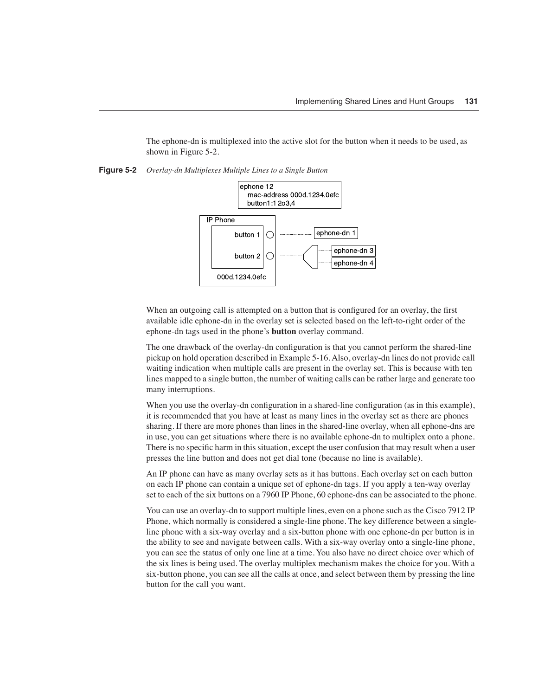The ephone-dn is multiplexed into the active slot for the button when it needs to be used, as shown in Figure 5-2.





When an outgoing call is attempted on a button that is configured for an overlay, the first available idle ephone-dn in the overlay set is selected based on the left-to-right order of the ephone-dn tags used in the phone's **button** overlay command.

The one drawback of the overlay-dn configuration is that you cannot perform the shared-line pickup on hold operation described in Example 5-16. Also, overlay-dn lines do not provide call waiting indication when multiple calls are present in the overlay set. This is because with ten lines mapped to a single button, the number of waiting calls can be rather large and generate too many interruptions.

When you use the overlay-dn configuration in a shared-line configuration (as in this example), it is recommended that you have at least as many lines in the overlay set as there are phones sharing. If there are more phones than lines in the shared-line overlay, when all ephone-dns are in use, you can get situations where there is no available ephone-dn to multiplex onto a phone. There is no specific harm in this situation, except the user confusion that may result when a user presses the line button and does not get dial tone (because no line is available).

An IP phone can have as many overlay sets as it has buttons. Each overlay set on each button on each IP phone can contain a unique set of ephone-dn tags. If you apply a ten-way overlay set to each of the six buttons on a 7960 IP Phone, 60 ephone-dns can be associated to the phone.

You can use an overlay-dn to support multiple lines, even on a phone such as the Cisco 7912 IP Phone, which normally is considered a single-line phone. The key difference between a singleline phone with a six-way overlay and a six-button phone with one ephone-dn per button is in the ability to see and navigate between calls. With a six-way overlay onto a single-line phone, you can see the status of only one line at a time. You also have no direct choice over which of the six lines is being used. The overlay multiplex mechanism makes the choice for you. With a six-button phone, you can see all the calls at once, and select between them by pressing the line button for the call you want.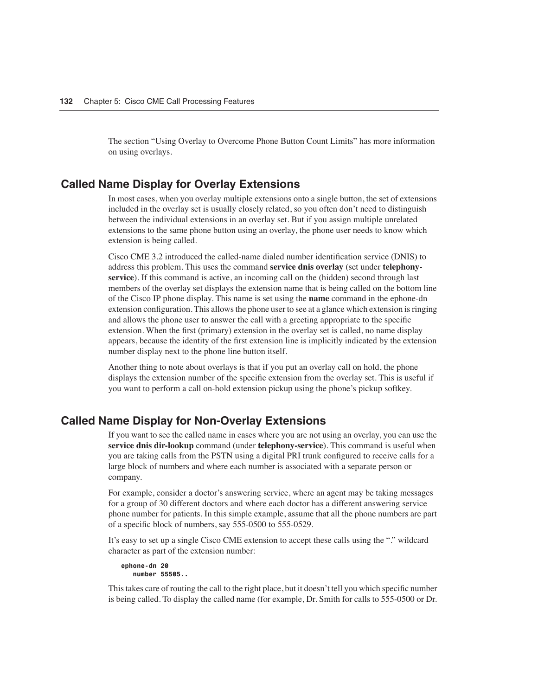The section "Using Overlay to Overcome Phone Button Count Limits" has more information on using overlays.

#### **Called Name Display for Overlay Extensions**

In most cases, when you overlay multiple extensions onto a single button, the set of extensions included in the overlay set is usually closely related, so you often don't need to distinguish between the individual extensions in an overlay set. But if you assign multiple unrelated extensions to the same phone button using an overlay, the phone user needs to know which extension is being called.

Cisco CME 3.2 introduced the called-name dialed number identification service (DNIS) to address this problem. This uses the command **service dnis overlay** (set under **telephonyservice**). If this command is active, an incoming call on the (hidden) second through last members of the overlay set displays the extension name that is being called on the bottom line of the Cisco IP phone display. This name is set using the **name** command in the ephone-dn extension configuration. This allows the phone user to see at a glance which extension is ringing and allows the phone user to answer the call with a greeting appropriate to the specific extension. When the first (primary) extension in the overlay set is called, no name display appears, because the identity of the first extension line is implicitly indicated by the extension number display next to the phone line button itself.

Another thing to note about overlays is that if you put an overlay call on hold, the phone displays the extension number of the specific extension from the overlay set. This is useful if you want to perform a call on-hold extension pickup using the phone's pickup softkey.

#### **Called Name Display for Non-Overlay Extensions**

If you want to see the called name in cases where you are not using an overlay, you can use the **service dnis dir-lookup** command (under **telephony-service**). This command is useful when you are taking calls from the PSTN using a digital PRI trunk configured to receive calls for a large block of numbers and where each number is associated with a separate person or company.

For example, consider a doctor's answering service, where an agent may be taking messages for a group of 30 different doctors and where each doctor has a different answering service phone number for patients. In this simple example, assume that all the phone numbers are part of a specific block of numbers, say 555-0500 to 555-0529.

It's easy to set up a single Cisco CME extension to accept these calls using the "." wildcard character as part of the extension number:

*ephone-dn 20 number 55505..*

This takes care of routing the call to the right place, but it doesn't tell you which specific number is being called. To display the called name (for example, Dr. Smith for calls to 555-0500 or Dr.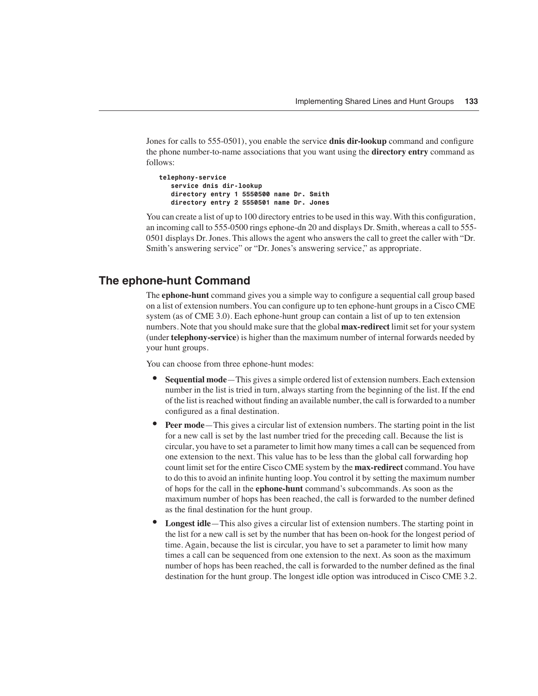Jones for calls to 555-0501), you enable the service **dnis dir-lookup** command and configure the phone number-to-name associations that you want using the **directory entry** command as follows:

```
telephony-service
   service dnis dir-lookup
   directory entry 1 5550500 name Dr. Smith
   directory entry 2 5550501 name Dr. Jones
```
You can create a list of up to 100 directory entries to be used in this way. With this configuration, an incoming call to 555-0500 rings ephone-dn 20 and displays Dr. Smith, whereas a call to 555- 0501 displays Dr. Jones. This allows the agent who answers the call to greet the caller with "Dr. Smith's answering service" or "Dr. Jones's answering service," as appropriate.

#### **The ephone-hunt Command**

The **ephone-hunt** command gives you a simple way to configure a sequential call group based on a list of extension numbers. You can configure up to ten ephone-hunt groups in a Cisco CME system (as of CME 3.0). Each ephone-hunt group can contain a list of up to ten extension numbers. Note that you should make sure that the global **max-redirect** limit set for your system (under **telephony-service**) is higher than the maximum number of internal forwards needed by your hunt groups.

You can choose from three ephone-hunt modes:

- **Sequential mode**—This gives a simple ordered list of extension numbers. Each extension number in the list is tried in turn, always starting from the beginning of the list. If the end of the list is reached without finding an available number, the call is forwarded to a number configured as a final destination.
- **Peer mode**—This gives a circular list of extension numbers. The starting point in the list for a new call is set by the last number tried for the preceding call. Because the list is circular, you have to set a parameter to limit how many times a call can be sequenced from one extension to the next. This value has to be less than the global call forwarding hop count limit set for the entire Cisco CME system by the **max-redirect** command. You have to do this to avoid an infinite hunting loop. You control it by setting the maximum number of hops for the call in the **ephone-hunt** command's subcommands. As soon as the maximum number of hops has been reached, the call is forwarded to the number defined as the final destination for the hunt group.
- **Longest idle**—This also gives a circular list of extension numbers. The starting point in the list for a new call is set by the number that has been on-hook for the longest period of time. Again, because the list is circular, you have to set a parameter to limit how many times a call can be sequenced from one extension to the next. As soon as the maximum number of hops has been reached, the call is forwarded to the number defined as the final destination for the hunt group. The longest idle option was introduced in Cisco CME 3.2.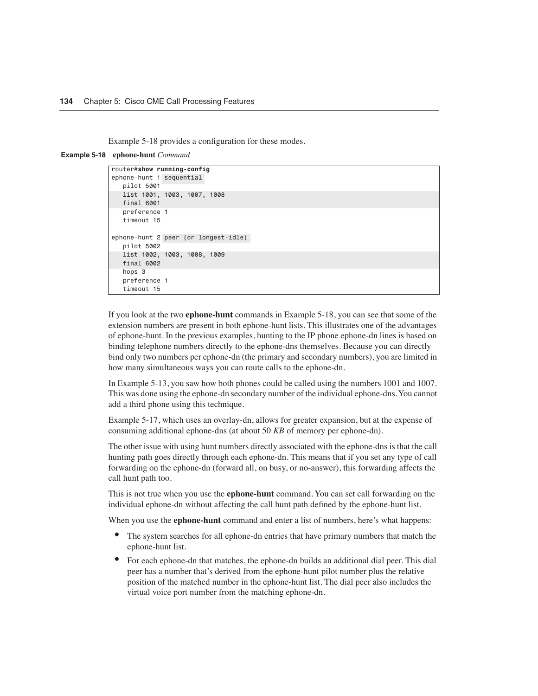Example 5-18 provides a configuration for these modes.

#### **Example 5-18 ephone-hunt** *Command*

```
router#show running-config
ephone-hunt 1 sequential
   pilot 5001
    list 1001, 1003, 1007, 1008
    final 6001
    preference 1
    timeout 15
ephone-hunt 2 peer (or longest-idle)
    pilot 5002
    list 1002, 1003, 1008, 1009
    final 6002
    hops 3
    preference 1
    timeout 15
```
If you look at the two **ephone-hunt** commands in Example 5-18, you can see that some of the extension numbers are present in both ephone-hunt lists. This illustrates one of the advantages of ephone-hunt. In the previous examples, hunting to the IP phone ephone-dn lines is based on binding telephone numbers directly to the ephone-dns themselves. Because you can directly bind only two numbers per ephone-dn (the primary and secondary numbers), you are limited in how many simultaneous ways you can route calls to the ephone-dn.

In Example 5-13, you saw how both phones could be called using the numbers 1001 and 1007. This was done using the ephone-dn secondary number of the individual ephone-dns. You cannot add a third phone using this technique.

Example 5-17, which uses an overlay-dn, allows for greater expansion, but at the expense of consuming additional ephone-dns (at about 50 *KB* of memory per ephone-dn).

The other issue with using hunt numbers directly associated with the ephone-dns is that the call hunting path goes directly through each ephone-dn. This means that if you set any type of call forwarding on the ephone-dn (forward all, on busy, or no-answer), this forwarding affects the call hunt path too.

This is not true when you use the **ephone-hunt** command. You can set call forwarding on the individual ephone-dn without affecting the call hunt path defined by the ephone-hunt list.

When you use the **ephone-hunt** command and enter a list of numbers, here's what happens:

- The system searches for all ephone-dn entries that have primary numbers that match the ephone-hunt list.
- For each ephone-dn that matches, the ephone-dn builds an additional dial peer. This dial peer has a number that's derived from the ephone-hunt pilot number plus the relative position of the matched number in the ephone-hunt list. The dial peer also includes the virtual voice port number from the matching ephone-dn.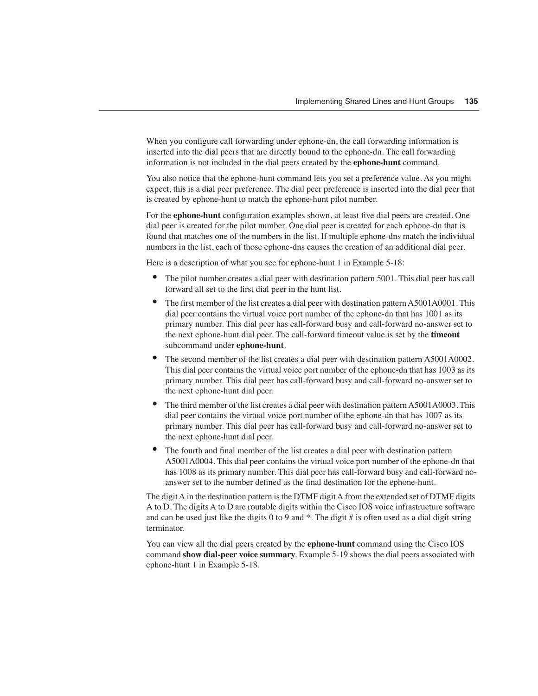When you configure call forwarding under ephone-dn, the call forwarding information is inserted into the dial peers that are directly bound to the ephone-dn. The call forwarding information is not included in the dial peers created by the **ephone-hunt** command.

You also notice that the ephone-hunt command lets you set a preference value. As you might expect, this is a dial peer preference. The dial peer preference is inserted into the dial peer that is created by ephone-hunt to match the ephone-hunt pilot number.

For the **ephone-hunt** configuration examples shown, at least five dial peers are created. One dial peer is created for the pilot number. One dial peer is created for each ephone-dn that is found that matches one of the numbers in the list. If multiple ephone-dns match the individual numbers in the list, each of those ephone-dns causes the creation of an additional dial peer.

Here is a description of what you see for ephone-hunt 1 in Example 5-18:

- The pilot number creates a dial peer with destination pattern 5001. This dial peer has call forward all set to the first dial peer in the hunt list.
- The first member of the list creates a dial peer with destination pattern A5001A0001. This dial peer contains the virtual voice port number of the ephone-dn that has 1001 as its primary number. This dial peer has call-forward busy and call-forward no-answer set to the next ephone-hunt dial peer. The call-forward timeout value is set by the **timeout** subcommand under **ephone-hunt**.
- The second member of the list creates a dial peer with destination pattern A5001A0002. This dial peer contains the virtual voice port number of the ephone-dn that has 1003 as its primary number. This dial peer has call-forward busy and call-forward no-answer set to the next ephone-hunt dial peer.
- The third member of the list creates a dial peer with destination pattern A5001A0003. This dial peer contains the virtual voice port number of the ephone-dn that has 1007 as its primary number. This dial peer has call-forward busy and call-forward no-answer set to the next ephone-hunt dial peer.
- The fourth and final member of the list creates a dial peer with destination pattern A5001A0004. This dial peer contains the virtual voice port number of the ephone-dn that has 1008 as its primary number. This dial peer has call-forward busy and call-forward noanswer set to the number defined as the final destination for the ephone-hunt.

The digit A in the destination pattern is the DTMF digit A from the extended set of DTMF digits A to D. The digits A to D are routable digits within the Cisco IOS voice infrastructure software and can be used just like the digits 0 to 9 and  $*$ . The digit # is often used as a dial digit string terminator.

You can view all the dial peers created by the **ephone-hunt** command using the Cisco IOS command **show dial-peer voice summary**. Example 5-19 shows the dial peers associated with ephone-hunt 1 in Example 5-18.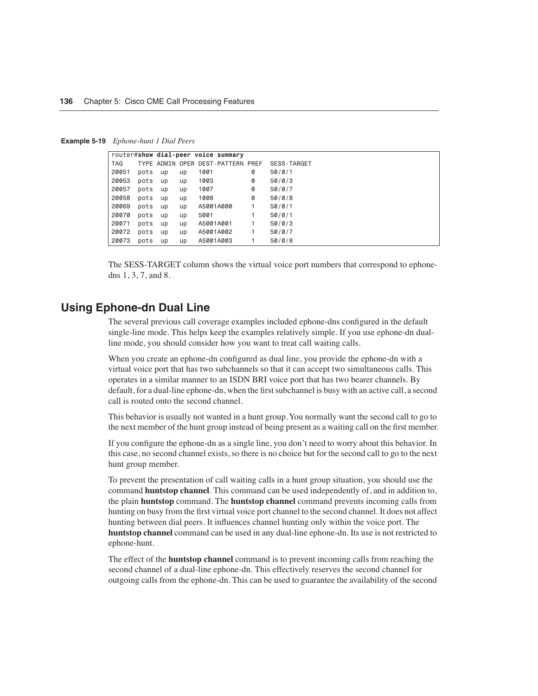**Example 5-19** *Ephone-hunt 1 Dial Peers*

|            |      |    |    | router#show dial-peer voice summary |   |                    |
|------------|------|----|----|-------------------------------------|---|--------------------|
| <b>TAG</b> |      |    |    | TYPE ADMIN OPER DEST-PATTERN PREF   |   | <b>SESS-TARGET</b> |
| 20051      | pots | up | up | 1001                                | 0 | 50/0/1             |
| 20053      | pots | up | up | 1003                                | 0 | 50/0/3             |
| 20057      | pots | up | up | 1007                                | 0 | 50/0/7             |
| 20058      | pots | up | up | 1008                                | 0 | 50/0/8             |
| 20069      | pots | up | up | A5001A000                           |   | 50/0/1             |
| 20070      | pots | up | up | 5001                                |   | 50/0/1             |
| 20071      | pots | up | up | A5001A001                           |   | 50/0/3             |
| 20072      | pots | up | up | A5001A002                           |   | 50/0/7             |
| 20073      | pots | up | up | A5001A003                           |   | 50/0/8             |

The SESS-TARGET column shows the virtual voice port numbers that correspond to ephonedns 1, 3, 7, and 8.

#### **Using Ephone-dn Dual Line**

The several previous call coverage examples included ephone-dns configured in the default single-line mode. This helps keep the examples relatively simple. If you use ephone-dn dualline mode, you should consider how you want to treat call waiting calls.

When you create an ephone-dn configured as dual line, you provide the ephone-dn with a virtual voice port that has two subchannels so that it can accept two simultaneous calls. This operates in a similar manner to an ISDN BRI voice port that has two bearer channels. By default, for a dual-line ephone-dn, when the first subchannel is busy with an active call, a second call is routed onto the second channel.

This behavior is usually not wanted in a hunt group. You normally want the second call to go to the next member of the hunt group instead of being present as a waiting call on the first member.

If you configure the ephone-dn as a single line, you don't need to worry about this behavior. In this case, no second channel exists, so there is no choice but for the second call to go to the next hunt group member.

To prevent the presentation of call waiting calls in a hunt group situation, you should use the command **huntstop channel**. This command can be used independently of, and in addition to, the plain **huntstop** command. The **huntstop channel** command prevents incoming calls from hunting on busy from the first virtual voice port channel to the second channel. It does not affect hunting between dial peers. It influences channel hunting only within the voice port. The **huntstop channel** command can be used in any dual-line ephone-dn. Its use is not restricted to ephone-hunt.

The effect of the **huntstop channel** command is to prevent incoming calls from reaching the second channel of a dual-line ephone-dn. This effectively reserves the second channel for outgoing calls from the ephone-dn. This can be used to guarantee the availability of the second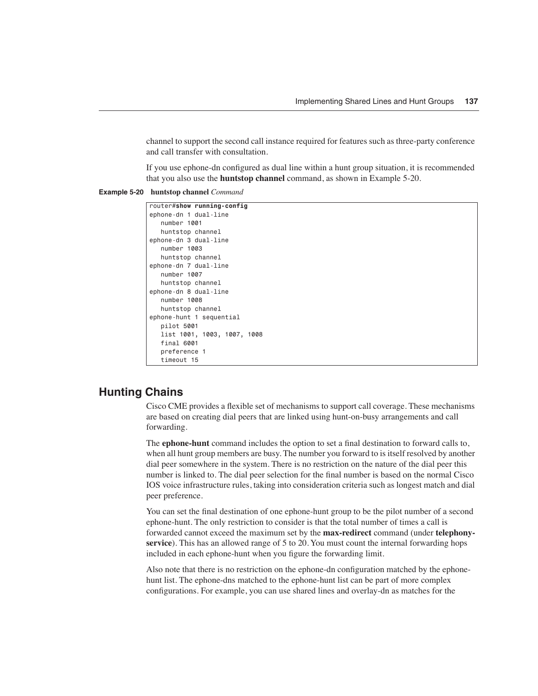channel to support the second call instance required for features such as three-party conference and call transfer with consultation.

If you use ephone-dn configured as dual line within a hunt group situation, it is recommended that you also use the **huntstop channel** command, as shown in Example 5-20.

```
Example 5-20 huntstop channel Command
```

```
router#show running-config
ephone-dn 1 dual-line
   number 1001
   huntstop channel
ephone-dn 3 dual-line
   number 1003
   huntstop channel
ephone-dn 7 dual-line
   number 1007
   huntstop channel
ephone-dn 8 dual-line
   number 1008
   huntstop channel
ephone-hunt 1 sequential
   pilot 5001
    list 1001, 1003, 1007, 1008
    final 6001
    preference 1
    timeout 15
```
#### **Hunting Chains**

Cisco CME provides a flexible set of mechanisms to support call coverage. These mechanisms are based on creating dial peers that are linked using hunt-on-busy arrangements and call forwarding.

The **ephone-hunt** command includes the option to set a final destination to forward calls to, when all hunt group members are busy. The number you forward to is itself resolved by another dial peer somewhere in the system. There is no restriction on the nature of the dial peer this number is linked to. The dial peer selection for the final number is based on the normal Cisco IOS voice infrastructure rules, taking into consideration criteria such as longest match and dial peer preference.

You can set the final destination of one ephone-hunt group to be the pilot number of a second ephone-hunt. The only restriction to consider is that the total number of times a call is forwarded cannot exceed the maximum set by the **max-redirect** command (under **telephonyservice**). This has an allowed range of 5 to 20. You must count the internal forwarding hops included in each ephone-hunt when you figure the forwarding limit.

Also note that there is no restriction on the ephone-dn configuration matched by the ephonehunt list. The ephone-dns matched to the ephone-hunt list can be part of more complex configurations. For example, you can use shared lines and overlay-dn as matches for the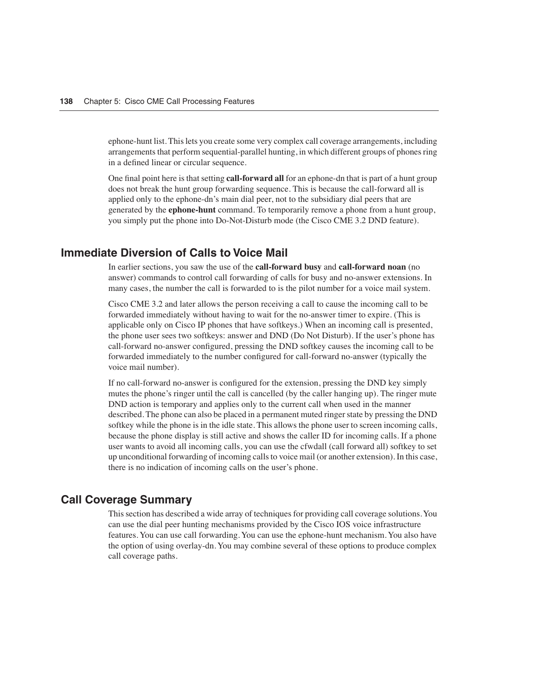ephone-hunt list. This lets you create some very complex call coverage arrangements, including arrangements that perform sequential-parallel hunting, in which different groups of phones ring in a defined linear or circular sequence.

One final point here is that setting **call-forward all** for an ephone-dn that is part of a hunt group does not break the hunt group forwarding sequence. This is because the call-forward all is applied only to the ephone-dn's main dial peer, not to the subsidiary dial peers that are generated by the **ephone-hunt** command. To temporarily remove a phone from a hunt group, you simply put the phone into Do-Not-Disturb mode (the Cisco CME 3.2 DND feature).

#### **Immediate Diversion of Calls to Voice Mail**

In earlier sections, you saw the use of the **call-forward busy** and **call-forward noan** (no answer) commands to control call forwarding of calls for busy and no-answer extensions. In many cases, the number the call is forwarded to is the pilot number for a voice mail system.

Cisco CME 3.2 and later allows the person receiving a call to cause the incoming call to be forwarded immediately without having to wait for the no-answer timer to expire. (This is applicable only on Cisco IP phones that have softkeys.) When an incoming call is presented, the phone user sees two softkeys: answer and DND (Do Not Disturb). If the user's phone has call-forward no-answer configured, pressing the DND softkey causes the incoming call to be forwarded immediately to the number configured for call-forward no-answer (typically the voice mail number).

If no call-forward no-answer is configured for the extension, pressing the DND key simply mutes the phone's ringer until the call is cancelled (by the caller hanging up). The ringer mute DND action is temporary and applies only to the current call when used in the manner described. The phone can also be placed in a permanent muted ringer state by pressing the DND softkey while the phone is in the idle state. This allows the phone user to screen incoming calls, because the phone display is still active and shows the caller ID for incoming calls. If a phone user wants to avoid all incoming calls, you can use the cfwdall (call forward all) softkey to set up unconditional forwarding of incoming calls to voice mail (or another extension). In this case, there is no indication of incoming calls on the user's phone.

#### **Call Coverage Summary**

This section has described a wide array of techniques for providing call coverage solutions. You can use the dial peer hunting mechanisms provided by the Cisco IOS voice infrastructure features. You can use call forwarding. You can use the ephone-hunt mechanism. You also have the option of using overlay-dn. You may combine several of these options to produce complex call coverage paths.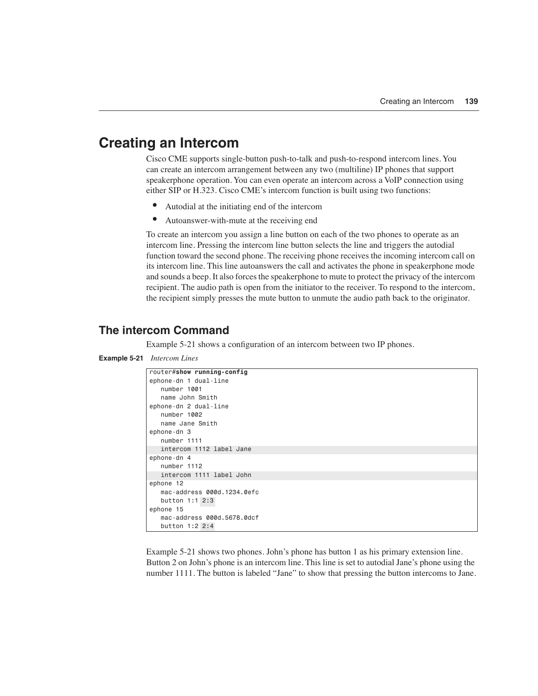## **Creating an Intercom**

Cisco CME supports single-button push-to-talk and push-to-respond intercom lines. You can create an intercom arrangement between any two (multiline) IP phones that support speakerphone operation. You can even operate an intercom across a VoIP connection using either SIP or H.323. Cisco CME's intercom function is built using two functions:

- Autodial at the initiating end of the intercom
- Autoanswer-with-mute at the receiving end

To create an intercom you assign a line button on each of the two phones to operate as an intercom line. Pressing the intercom line button selects the line and triggers the autodial function toward the second phone. The receiving phone receives the incoming intercom call on its intercom line. This line autoanswers the call and activates the phone in speakerphone mode and sounds a beep. It also forces the speakerphone to mute to protect the privacy of the intercom recipient. The audio path is open from the initiator to the receiver. To respond to the intercom, the recipient simply presses the mute button to unmute the audio path back to the originator.

#### **The intercom Command**

Example 5-21 shows a configuration of an intercom between two IP phones.

```
Example 5-21 Intercom Lines
              router#show running-config
              ephone-dn 1 dual-line
                 number 1001
                  name John Smith
              ephone-dn 2 dual-line
                 number 1002
                  name Jane Smith
              ephone-dn 3
                  number 1111
                  intercom 1112 label Jane
              ephone-dn 4
                 number 1112
                  intercom 1111 label John
              ephone 12
                  mac-address 000d.1234.0efc
                  button 1:1 2:3
              ephone 15
                  mac-address 000d.5678.0dcf
                  button 1:2 2:4
```
Example 5-21 shows two phones. John's phone has button 1 as his primary extension line. Button 2 on John's phone is an intercom line. This line is set to autodial Jane's phone using the number 1111. The button is labeled "Jane" to show that pressing the button intercoms to Jane.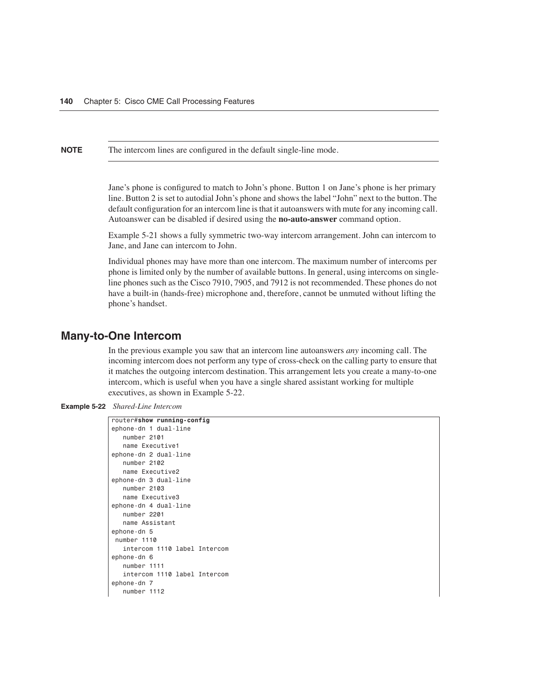**NOTE** The intercom lines are configured in the default single-line mode.

Jane's phone is configured to match to John's phone. Button 1 on Jane's phone is her primary line. Button 2 is set to autodial John's phone and shows the label "John" next to the button. The default configuration for an intercom line is that it autoanswers with mute for any incoming call. Autoanswer can be disabled if desired using the **no-auto-answer** command option.

Example 5-21 shows a fully symmetric two-way intercom arrangement. John can intercom to Jane, and Jane can intercom to John.

Individual phones may have more than one intercom. The maximum number of intercoms per phone is limited only by the number of available buttons. In general, using intercoms on singleline phones such as the Cisco 7910, 7905, and 7912 is not recommended. These phones do not have a built-in (hands-free) microphone and, therefore, cannot be unmuted without lifting the phone's handset.

#### **Many-to-One Intercom**

In the previous example you saw that an intercom line autoanswers *any* incoming call. The incoming intercom does not perform any type of cross-check on the calling party to ensure that it matches the outgoing intercom destination. This arrangement lets you create a many-to-one intercom, which is useful when you have a single shared assistant working for multiple executives, as shown in Example 5-22.

**Example 5-22** *Shared-Line Intercom* 

```
router#show running-config
ephone-dn 1 dual-line
   number 2101
   name Executive1
ephone-dn 2 dual-line
   number 2102
   name Executive2
ephone-dn 3 dual-line
   number 2103
   name Executive3
ephone-dn 4 dual-line
   number 2201
   name Assistant
ephone-dn 5
 number 1110
   intercom 1110 label Intercom
ephone-dn 6
   number 1111
    intercom 1110 label Intercom
ephone-dn 7
   number 1112
```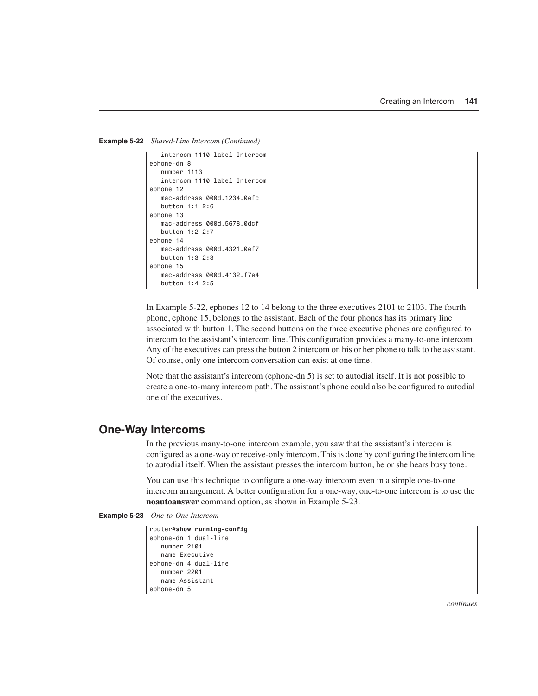```
Example 5-22 Shared-Line Intercom (Continued)
```

```
 intercom 1110 label Intercom
ephone-dn 8
   number 1113
    intercom 1110 label Intercom
ephone 12
   mac-address 000d.1234.0efc
   button 1:1 2:6
ephone 13
   mac-address 000d.5678.0dcf
   button 1:2 2:7
ephone 14
   mac-address 000d.4321.0ef7
   button 1:3 2:8
ephone 15
   mac-address 000d.4132.f7e4
    button 1:4 2:5
```
In Example 5-22, ephones 12 to 14 belong to the three executives 2101 to 2103. The fourth phone, ephone 15, belongs to the assistant. Each of the four phones has its primary line associated with button 1. The second buttons on the three executive phones are configured to intercom to the assistant's intercom line. This configuration provides a many-to-one intercom. Any of the executives can press the button 2 intercom on his or her phone to talk to the assistant. Of course, only one intercom conversation can exist at one time.

Note that the assistant's intercom (ephone-dn 5) is set to autodial itself. It is not possible to create a one-to-many intercom path. The assistant's phone could also be configured to autodial one of the executives.

#### **One-Way Intercoms**

In the previous many-to-one intercom example, you saw that the assistant's intercom is configured as a one-way or receive-only intercom. This is done by configuring the intercom line to autodial itself. When the assistant presses the intercom button, he or she hears busy tone.

You can use this technique to configure a one-way intercom even in a simple one-to-one intercom arrangement. A better configuration for a one-way, one-to-one intercom is to use the **noautoanswer** command option, as shown in Example 5-23.

```
Example 5-23 One-to-One Intercom
```

```
router#show running-config
ephone-dn 1 dual-line
   number 2101
   name Executive
ephone-dn 4 dual-line
   number 2201
   name Assistant
ephone-dn 5
```
*continues*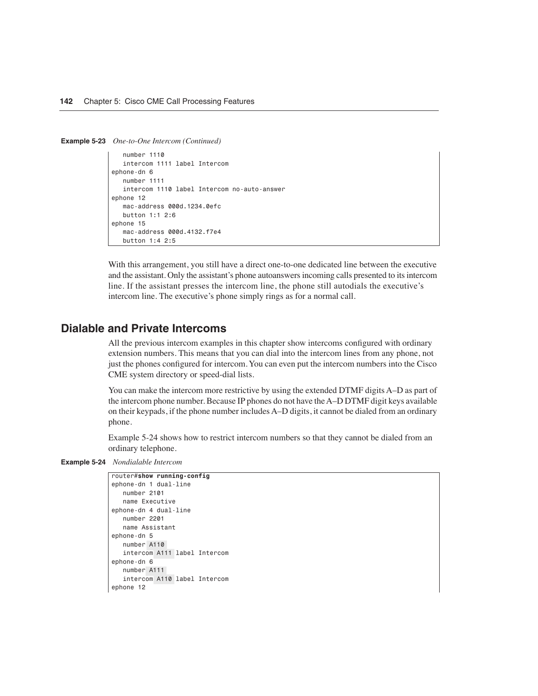**Example 5-23** *One-to-One Intercom (Continued)*

```
 number 1110
    intercom 1111 label Intercom
ephone-dn 6
   number 1111
   intercom 1110 label Intercom no-auto-answer
ephone 12
   mac-address 000d.1234.0efc
   button 1:1 2:6
ephone 15
    mac-address 000d.4132.f7e4
    button 1:4 2:5
```
With this arrangement, you still have a direct one-to-one dedicated line between the executive and the assistant. Only the assistant's phone autoanswers incoming calls presented to its intercom line. If the assistant presses the intercom line, the phone still autodials the executive's intercom line. The executive's phone simply rings as for a normal call.

#### **Dialable and Private Intercoms**

All the previous intercom examples in this chapter show intercoms configured with ordinary extension numbers. This means that you can dial into the intercom lines from any phone, not just the phones configured for intercom. You can even put the intercom numbers into the Cisco CME system directory or speed-dial lists.

You can make the intercom more restrictive by using the extended DTMF digits A–D as part of the intercom phone number. Because IP phones do not have the A–D DTMF digit keys available on their keypads, if the phone number includes A–D digits, it cannot be dialed from an ordinary phone.

Example 5-24 shows how to restrict intercom numbers so that they cannot be dialed from an ordinary telephone.

```
Example 5-24 Nondialable Intercom
```

```
router#show running-config
ephone-dn 1 dual-line
   number 2101
   name Executive
ephone-dn 4 dual-line
   number 2201
   name Assistant
ephone-dn 5
   number A110
    intercom A111 label Intercom
ephone-dn 6
   number A111
   intercom A110 label Intercom
ephone 12
```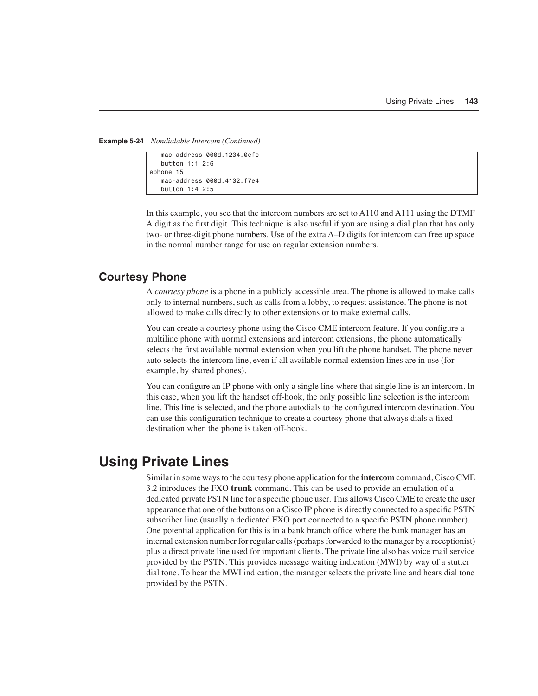```
Example 5-24 Nondialable Intercom (Continued)
```

```
 mac-address 000d.1234.0efc
    button 1:1 2:6
ephone 15
    mac-address 000d.4132.f7e4
    button 1:4 2:5
```
In this example, you see that the intercom numbers are set to A110 and A111 using the DTMF A digit as the first digit. This technique is also useful if you are using a dial plan that has only two- or three-digit phone numbers. Use of the extra A–D digits for intercom can free up space in the normal number range for use on regular extension numbers.

#### **Courtesy Phone**

A *courtesy phone* is a phone in a publicly accessible area. The phone is allowed to make calls only to internal numbers, such as calls from a lobby, to request assistance. The phone is not allowed to make calls directly to other extensions or to make external calls.

You can create a courtesy phone using the Cisco CME intercom feature. If you configure a multiline phone with normal extensions and intercom extensions, the phone automatically selects the first available normal extension when you lift the phone handset. The phone never auto selects the intercom line, even if all available normal extension lines are in use (for example, by shared phones).

You can configure an IP phone with only a single line where that single line is an intercom. In this case, when you lift the handset off-hook, the only possible line selection is the intercom line. This line is selected, and the phone autodials to the configured intercom destination. You can use this configuration technique to create a courtesy phone that always dials a fixed destination when the phone is taken off-hook.

## **Using Private Lines**

Similar in some ways to the courtesy phone application for the **intercom** command, Cisco CME 3.2 introduces the FXO **trunk** command. This can be used to provide an emulation of a dedicated private PSTN line for a specific phone user. This allows Cisco CME to create the user appearance that one of the buttons on a Cisco IP phone is directly connected to a specific PSTN subscriber line (usually a dedicated FXO port connected to a specific PSTN phone number). One potential application for this is in a bank branch office where the bank manager has an internal extension number for regular calls (perhaps forwarded to the manager by a receptionist) plus a direct private line used for important clients. The private line also has voice mail service provided by the PSTN. This provides message waiting indication (MWI) by way of a stutter dial tone. To hear the MWI indication, the manager selects the private line and hears dial tone provided by the PSTN.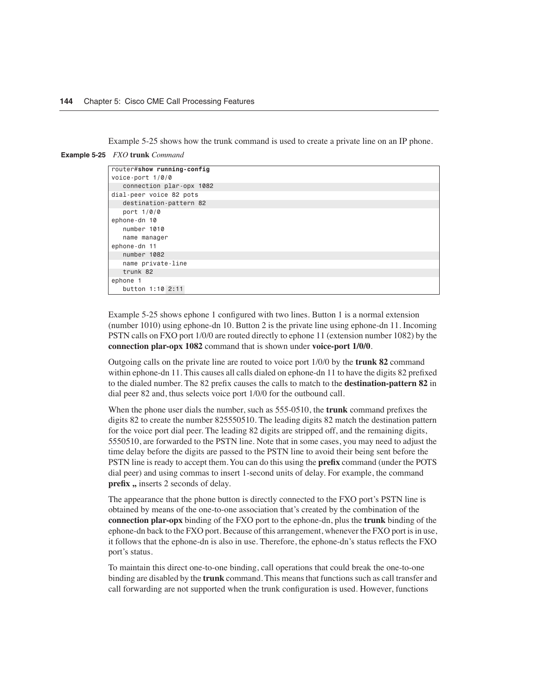Example 5-25 shows how the trunk command is used to create a private line on an IP phone.

| <b>Example 5-25</b> FXO trunk Command |  |  |
|---------------------------------------|--|--|
|---------------------------------------|--|--|

| router#show running-config         |  |
|------------------------------------|--|
| voice-port $1/\emptyset/\emptyset$ |  |
| connection plar-opx 1082           |  |
| dial-peer voice 82 pots            |  |
| destination-pattern 82             |  |
| port 1/0/0                         |  |
| ephone-dn 10                       |  |
| number 1010                        |  |
| name manager                       |  |
| ephone-dn 11                       |  |
| number 1082                        |  |
| name private-line                  |  |
| trunk 82                           |  |
| ephone 1                           |  |
| button 1:10 2:11                   |  |

Example 5-25 shows ephone 1 configured with two lines. Button 1 is a normal extension (number 1010) using ephone-dn 10. Button 2 is the private line using ephone-dn 11. Incoming PSTN calls on FXO port 1/0/0 are routed directly to ephone 11 (extension number 1082) by the **connection plar-opx 1082** command that is shown under **voice-port 1/0/0**.

Outgoing calls on the private line are routed to voice port 1/0/0 by the **trunk 82** command within ephone-dn 11. This causes all calls dialed on ephone-dn 11 to have the digits 82 prefixed to the dialed number. The 82 prefix causes the calls to match to the **destination-pattern 82** in dial peer 82 and, thus selects voice port 1/0/0 for the outbound call.

When the phone user dials the number, such as 555-0510, the **trunk** command prefixes the digits 82 to create the number 825550510. The leading digits 82 match the destination pattern for the voice port dial peer. The leading 82 digits are stripped off, and the remaining digits, 5550510, are forwarded to the PSTN line. Note that in some cases, you may need to adjust the time delay before the digits are passed to the PSTN line to avoid their being sent before the PSTN line is ready to accept them. You can do this using the **prefix** command (under the POTS dial peer) and using commas to insert 1-second units of delay. For example, the command **prefix ,,** inserts 2 seconds of delay.

The appearance that the phone button is directly connected to the FXO port's PSTN line is obtained by means of the one-to-one association that's created by the combination of the **connection plar-opx** binding of the FXO port to the ephone-dn, plus the **trunk** binding of the ephone-dn back to the FXO port. Because of this arrangement, whenever the FXO port is in use, it follows that the ephone-dn is also in use. Therefore, the ephone-dn's status reflects the FXO port's status.

To maintain this direct one-to-one binding, call operations that could break the one-to-one binding are disabled by the **trunk** command. This means that functions such as call transfer and call forwarding are not supported when the trunk configuration is used. However, functions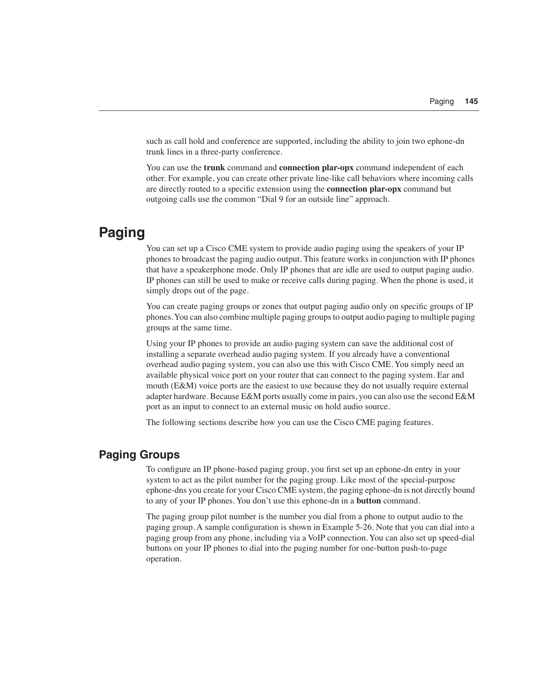such as call hold and conference are supported, including the ability to join two ephone-dn trunk lines in a three-party conference.

You can use the **trunk** command and **connection plar-opx** command independent of each other. For example, you can create other private line-like call behaviors where incoming calls are directly routed to a specific extension using the **connection plar-opx** command but outgoing calls use the common "Dial 9 for an outside line" approach.

## **Paging**

You can set up a Cisco CME system to provide audio paging using the speakers of your IP phones to broadcast the paging audio output. This feature works in conjunction with IP phones that have a speakerphone mode. Only IP phones that are idle are used to output paging audio. IP phones can still be used to make or receive calls during paging. When the phone is used, it simply drops out of the page.

You can create paging groups or zones that output paging audio only on specific groups of IP phones. You can also combine multiple paging groups to output audio paging to multiple paging groups at the same time.

Using your IP phones to provide an audio paging system can save the additional cost of installing a separate overhead audio paging system. If you already have a conventional overhead audio paging system, you can also use this with Cisco CME. You simply need an available physical voice port on your router that can connect to the paging system. Ear and mouth (E&M) voice ports are the easiest to use because they do not usually require external adapter hardware. Because E&M ports usually come in pairs, you can also use the second E&M port as an input to connect to an external music on hold audio source.

The following sections describe how you can use the Cisco CME paging features.

#### **Paging Groups**

To configure an IP phone-based paging group, you first set up an ephone-dn entry in your system to act as the pilot number for the paging group. Like most of the special-purpose ephone-dns you create for your Cisco CME system, the paging ephone-dn is not directly bound to any of your IP phones. You don't use this ephone-dn in a **button** command.

The paging group pilot number is the number you dial from a phone to output audio to the paging group. A sample configuration is shown in Example 5-26. Note that you can dial into a paging group from any phone, including via a VoIP connection. You can also set up speed-dial buttons on your IP phones to dial into the paging number for one-button push-to-page operation.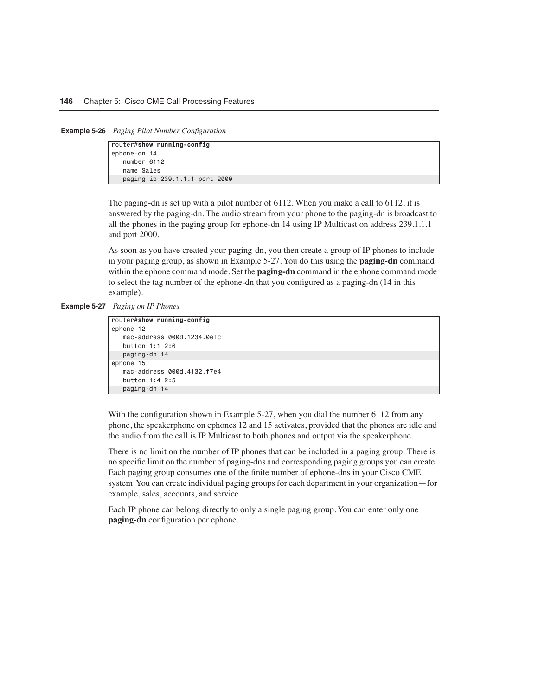**Example 5-26** *Paging Pilot Number Configuration*

| router#show running-config    |
|-------------------------------|
| ephone-dn 14                  |
| number 6112                   |
| name Sales                    |
| paging ip 239.1.1.1 port 2000 |

The paging-dn is set up with a pilot number of 6112. When you make a call to 6112, it is answered by the paging-dn. The audio stream from your phone to the paging-dn is broadcast to all the phones in the paging group for ephone-dn 14 using IP Multicast on address 239.1.1.1 and port 2000.

As soon as you have created your paging-dn, you then create a group of IP phones to include in your paging group, as shown in Example 5-27. You do this using the **paging-dn** command within the ephone command mode. Set the **paging-dn** command in the ephone command mode to select the tag number of the ephone-dn that you configured as a paging-dn (14 in this example).

```
Example 5-27 Paging on IP Phones
```

```
router#show running-config
ephone 12
   mac-address 000d.1234.0efc
    button 1:1 2:6
   paging-dn 14
ephone 15
   mac-address 000d.4132.f7e4
    button 1:4 2:5
    paging-dn 14
```
With the configuration shown in Example 5-27, when you dial the number 6112 from any phone, the speakerphone on ephones 12 and 15 activates, provided that the phones are idle and the audio from the call is IP Multicast to both phones and output via the speakerphone.

There is no limit on the number of IP phones that can be included in a paging group. There is no specific limit on the number of paging-dns and corresponding paging groups you can create. Each paging group consumes one of the finite number of ephone-dns in your Cisco CME system. You can create individual paging groups for each department in your organization—for example, sales, accounts, and service.

Each IP phone can belong directly to only a single paging group. You can enter only one **paging-dn** configuration per ephone.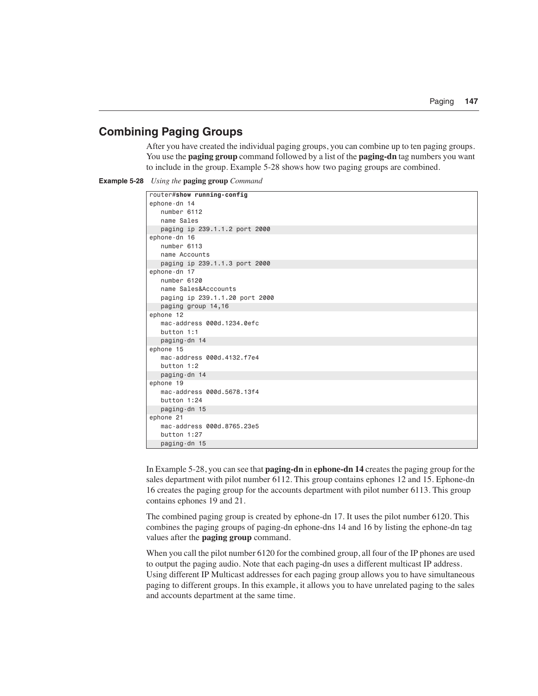#### **Combining Paging Groups**

After you have created the individual paging groups, you can combine up to ten paging groups. You use the **paging group** command followed by a list of the **paging-dn** tag numbers you want to include in the group. Example 5-28 shows how two paging groups are combined.



| router#show running-config     |
|--------------------------------|
| ephone-dn 14                   |
| number 6112                    |
| name Sales                     |
| paging ip 239.1.1.2 port 2000  |
| ephone-dn 16                   |
| number 6113                    |
| name Accounts                  |
| paging ip 239.1.1.3 port 2000  |
| ephone-dn 17                   |
| number 6120                    |
| name Sales&Acccounts           |
| paging ip 239.1.1.20 port 2000 |
| paging group 14,16             |
| ephone 12                      |
| mac-address 000d.1234.0efc     |
| button 1:1                     |
| paging-dn 14                   |
| ephone 15                      |
| mac-address 000d.4132.f7e4     |
| button 1:2                     |
| paging-dn 14                   |
| ephone 19                      |
| mac-address 000d.5678.13f4     |
| button 1:24                    |
| paging-dn 15                   |
| ephone 21                      |
| mac-address 000d.8765.23e5     |
| button 1:27                    |
| paging-dn 15                   |

In Example 5-28, you can see that **paging-dn** in **ephone-dn 14** creates the paging group for the sales department with pilot number 6112. This group contains ephones 12 and 15. Ephone-dn 16 creates the paging group for the accounts department with pilot number 6113. This group contains ephones 19 and 21.

The combined paging group is created by ephone-dn 17. It uses the pilot number 6120. This combines the paging groups of paging-dn ephone-dns 14 and 16 by listing the ephone-dn tag values after the **paging group** command.

When you call the pilot number 6120 for the combined group, all four of the IP phones are used to output the paging audio. Note that each paging-dn uses a different multicast IP address. Using different IP Multicast addresses for each paging group allows you to have simultaneous paging to different groups. In this example, it allows you to have unrelated paging to the sales and accounts department at the same time.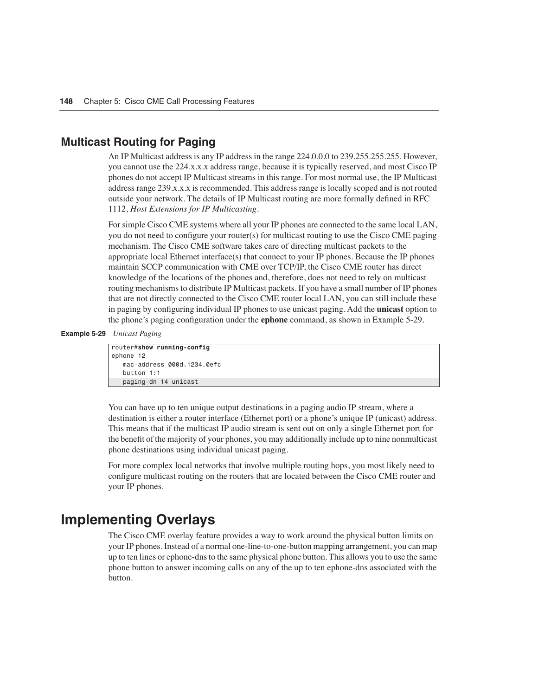#### **Multicast Routing for Paging**

An IP Multicast address is any IP address in the range 224.0.0.0 to 239.255.255.255. However, you cannot use the 224.x.x.x address range, because it is typically reserved, and most Cisco IP phones do not accept IP Multicast streams in this range. For most normal use, the IP Multicast address range 239.x.x.x is recommended. This address range is locally scoped and is not routed outside your network. The details of IP Multicast routing are more formally defined in RFC 1112, *Host Extensions for IP Multicasting*.

For simple Cisco CME systems where all your IP phones are connected to the same local LAN, you do not need to configure your router(s) for multicast routing to use the Cisco CME paging mechanism. The Cisco CME software takes care of directing multicast packets to the appropriate local Ethernet interface(s) that connect to your IP phones. Because the IP phones maintain SCCP communication with CME over TCP/IP, the Cisco CME router has direct knowledge of the locations of the phones and, therefore, does not need to rely on multicast routing mechanisms to distribute IP Multicast packets. If you have a small number of IP phones that are not directly connected to the Cisco CME router local LAN, you can still include these in paging by configuring individual IP phones to use unicast paging. Add the **unicast** option to the phone's paging configuration under the **ephone** command, as shown in Example 5-29.

#### **Example 5-29** *Unicast Paging*

```
router#show running-config
ephone 12
    mac-address 000d.1234.0efc
    button 1:1
    paging-dn 14 unicast
```
You can have up to ten unique output destinations in a paging audio IP stream, where a destination is either a router interface (Ethernet port) or a phone's unique IP (unicast) address. This means that if the multicast IP audio stream is sent out on only a single Ethernet port for the benefit of the majority of your phones, you may additionally include up to nine nonmulticast phone destinations using individual unicast paging.

For more complex local networks that involve multiple routing hops, you most likely need to configure multicast routing on the routers that are located between the Cisco CME router and your IP phones.

### **Implementing Overlays**

The Cisco CME overlay feature provides a way to work around the physical button limits on your IP phones. Instead of a normal one-line-to-one-button mapping arrangement, you can map up to ten lines or ephone-dns to the same physical phone button. This allows you to use the same phone button to answer incoming calls on any of the up to ten ephone-dns associated with the button.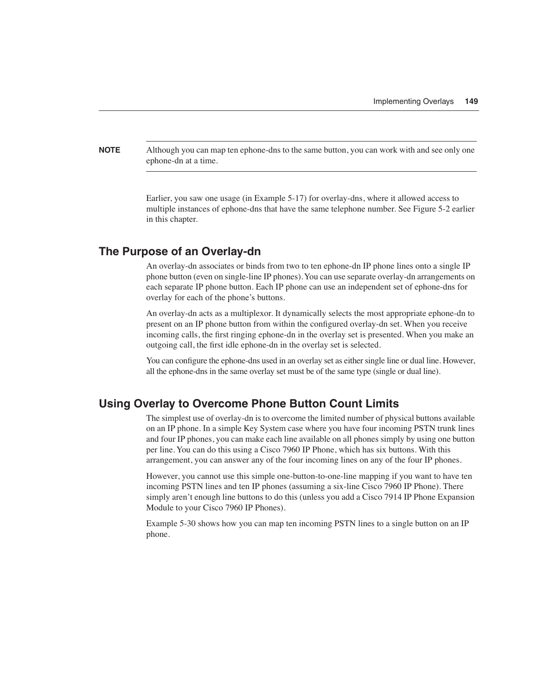**NOTE** Although you can map ten ephone-dns to the same button, you can work with and see only one ephone-dn at a time.

> Earlier, you saw one usage (in Example 5-17) for overlay-dns, where it allowed access to multiple instances of ephone-dns that have the same telephone number. See Figure 5-2 earlier in this chapter.

#### **The Purpose of an Overlay-dn**

An overlay-dn associates or binds from two to ten ephone-dn IP phone lines onto a single IP phone button (even on single-line IP phones). You can use separate overlay-dn arrangements on each separate IP phone button. Each IP phone can use an independent set of ephone-dns for overlay for each of the phone's buttons.

An overlay-dn acts as a multiplexor. It dynamically selects the most appropriate ephone-dn to present on an IP phone button from within the configured overlay-dn set. When you receive incoming calls, the first ringing ephone-dn in the overlay set is presented. When you make an outgoing call, the first idle ephone-dn in the overlay set is selected.

You can configure the ephone-dns used in an overlay set as either single line or dual line. However, all the ephone-dns in the same overlay set must be of the same type (single or dual line).

#### **Using Overlay to Overcome Phone Button Count Limits**

The simplest use of overlay-dn is to overcome the limited number of physical buttons available on an IP phone. In a simple Key System case where you have four incoming PSTN trunk lines and four IP phones, you can make each line available on all phones simply by using one button per line. You can do this using a Cisco 7960 IP Phone, which has six buttons. With this arrangement, you can answer any of the four incoming lines on any of the four IP phones.

However, you cannot use this simple one-button-to-one-line mapping if you want to have ten incoming PSTN lines and ten IP phones (assuming a six-line Cisco 7960 IP Phone). There simply aren't enough line buttons to do this (unless you add a Cisco 7914 IP Phone Expansion Module to your Cisco 7960 IP Phones).

Example 5-30 shows how you can map ten incoming PSTN lines to a single button on an IP phone.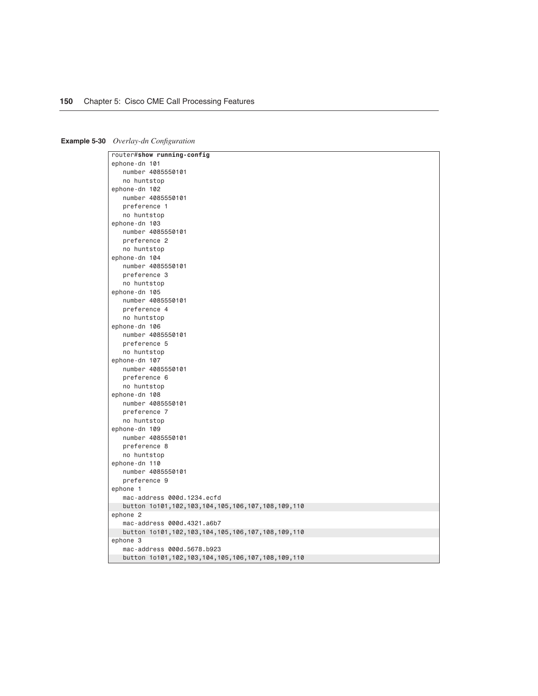| <b>Example 5-30</b> Overlay-dn Configuration |
|----------------------------------------------|

| router#show running-config                                |
|-----------------------------------------------------------|
| ephone-dn 101                                             |
| number 4085550101                                         |
| no huntstop                                               |
| ephone-dn 102                                             |
| number 4085550101                                         |
| preference 1                                              |
| no huntstop                                               |
| ephone-dn 103                                             |
| number 4085550101                                         |
| preference 2                                              |
| no huntstop                                               |
| ephone-dn 104                                             |
| number 4085550101                                         |
| preference 3                                              |
| no huntstop                                               |
| ephone-dn 105                                             |
| number 4085550101                                         |
| preference 4                                              |
| no huntstop                                               |
| ephone-dn 106                                             |
| number 4085550101                                         |
| preference 5                                              |
| no huntstop                                               |
| ephone-dn 107                                             |
| number 4085550101                                         |
| preference 6                                              |
| no huntstop                                               |
| ephone-dn 108                                             |
| number 4085550101                                         |
| preference 7                                              |
| no huntstop                                               |
| ephone-dn 109                                             |
| number 4085550101                                         |
| preference 8                                              |
| no huntstop                                               |
| ephone-dn 110                                             |
| number 4085550101                                         |
| preference 9                                              |
| ephone 1                                                  |
| mac-address 000d.1234.ecfd                                |
| button 1o101,102,103,104,105,106,107,108,109,110          |
| ephone 2                                                  |
| mac-address 000d.4321.a6b7                                |
| button 1o101,102,103,104,105,106,107,108,109,110          |
| ephone 3                                                  |
| mac-address 000d.5678.b923                                |
| button 1o101, 102, 103, 104, 105, 106, 107, 108, 109, 110 |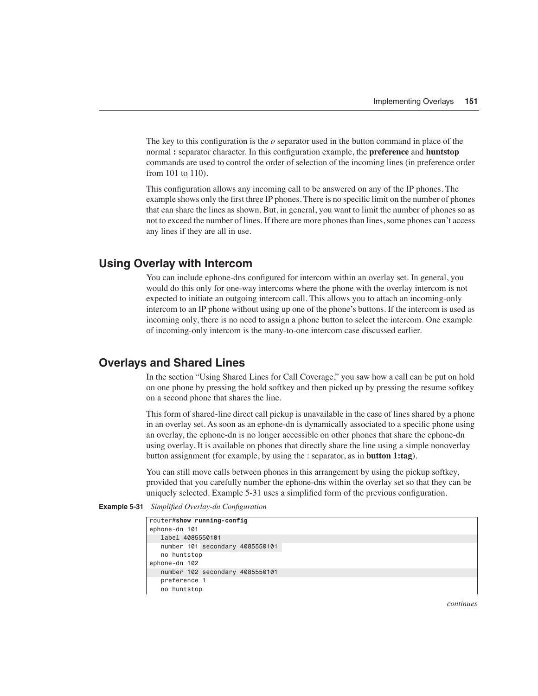The key to this configuration is the *o* separator used in the button command in place of the normal **:** separator character. In this configuration example, the **preference** and **huntstop** commands are used to control the order of selection of the incoming lines (in preference order from 101 to 110).

This configuration allows any incoming call to be answered on any of the IP phones. The example shows only the first three IP phones. There is no specific limit on the number of phones that can share the lines as shown. But, in general, you want to limit the number of phones so as not to exceed the number of lines. If there are more phones than lines, some phones can't access any lines if they are all in use.

#### **Using Overlay with Intercom**

You can include ephone-dns configured for intercom within an overlay set. In general, you would do this only for one-way intercoms where the phone with the overlay intercom is not expected to initiate an outgoing intercom call. This allows you to attach an incoming-only intercom to an IP phone without using up one of the phone's buttons. If the intercom is used as incoming only, there is no need to assign a phone button to select the intercom. One example of incoming-only intercom is the many-to-one intercom case discussed earlier.

#### **Overlays and Shared Lines**

In the section "Using Shared Lines for Call Coverage," you saw how a call can be put on hold on one phone by pressing the hold softkey and then picked up by pressing the resume softkey on a second phone that shares the line.

This form of shared-line direct call pickup is unavailable in the case of lines shared by a phone in an overlay set. As soon as an ephone-dn is dynamically associated to a specific phone using an overlay, the ephone-dn is no longer accessible on other phones that share the ephone-dn using overlay. It is available on phones that directly share the line using a simple nonoverlay button assignment (for example, by using the : separator, as in **button 1:tag**).

You can still move calls between phones in this arrangement by using the pickup softkey, provided that you carefully number the ephone-dns within the overlay set so that they can be uniquely selected. Example 5-31 uses a simplified form of the previous configuration.

**Example 5-31** *Simplified Overlay-dn Configuration* 

```
router#show running-config
ephone-dn 101
   label 4085550101
    number 101 secondary 4085550101
    no huntstop
ephone-dn 102
    number 102 secondary 4085550101
    preference 1
    no huntstop
```
*continues*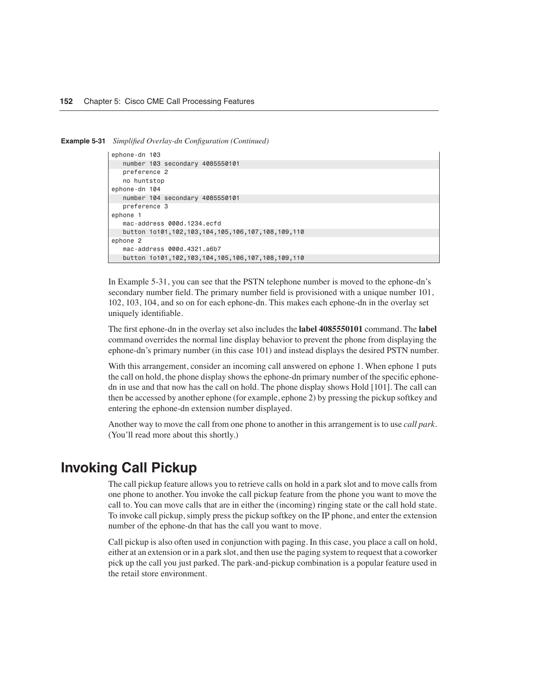**Example 5-31** *Simplified Overlay-dn Configuration (Continued)*

```
ephone-dn 103
    number 103 secondary 4085550101
    preference 2
    no huntstop
ephone-dn 104
   number 104 secondary 4085550101
   preference 3
ephone 1
   mac-address 000d.1234.ecfd
    button 1o101,102,103,104,105,106,107,108,109,110
ephone 2
   mac-address 000d.4321.a6b7
    button 1o101,102,103,104,105,106,107,108,109,110
```
In Example 5-31, you can see that the PSTN telephone number is moved to the ephone-dn's secondary number field. The primary number field is provisioned with a unique number 101, 102, 103, 104, and so on for each ephone-dn. This makes each ephone-dn in the overlay set uniquely identifiable.

The first ephone-dn in the overlay set also includes the **label 4085550101** command. The **label** command overrides the normal line display behavior to prevent the phone from displaying the ephone-dn's primary number (in this case 101) and instead displays the desired PSTN number.

With this arrangement, consider an incoming call answered on ephone 1. When ephone 1 puts the call on hold, the phone display shows the ephone-dn primary number of the specific ephonedn in use and that now has the call on hold. The phone display shows Hold [101]. The call can then be accessed by another ephone (for example, ephone 2) by pressing the pickup softkey and entering the ephone-dn extension number displayed.

Another way to move the call from one phone to another in this arrangement is to use *call park*. (You'll read more about this shortly.)

## **Invoking Call Pickup**

The call pickup feature allows you to retrieve calls on hold in a park slot and to move calls from one phone to another. You invoke the call pickup feature from the phone you want to move the call to. You can move calls that are in either the (incoming) ringing state or the call hold state. To invoke call pickup, simply press the pickup softkey on the IP phone, and enter the extension number of the ephone-dn that has the call you want to move.

Call pickup is also often used in conjunction with paging. In this case, you place a call on hold, either at an extension or in a park slot, and then use the paging system to request that a coworker pick up the call you just parked. The park-and-pickup combination is a popular feature used in the retail store environment.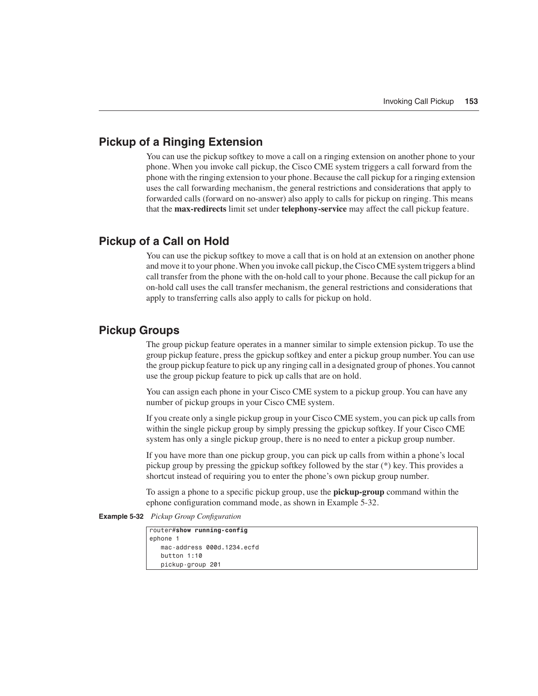#### **Pickup of a Ringing Extension**

You can use the pickup softkey to move a call on a ringing extension on another phone to your phone. When you invoke call pickup, the Cisco CME system triggers a call forward from the phone with the ringing extension to your phone. Because the call pickup for a ringing extension uses the call forwarding mechanism, the general restrictions and considerations that apply to forwarded calls (forward on no-answer) also apply to calls for pickup on ringing. This means that the **max-redirects** limit set under **telephony-service** may affect the call pickup feature.

#### **Pickup of a Call on Hold**

You can use the pickup softkey to move a call that is on hold at an extension on another phone and move it to your phone. When you invoke call pickup, the Cisco CME system triggers a blind call transfer from the phone with the on-hold call to your phone. Because the call pickup for an on-hold call uses the call transfer mechanism, the general restrictions and considerations that apply to transferring calls also apply to calls for pickup on hold.

#### **Pickup Groups**

The group pickup feature operates in a manner similar to simple extension pickup. To use the group pickup feature, press the gpickup softkey and enter a pickup group number. You can use the group pickup feature to pick up any ringing call in a designated group of phones. You cannot use the group pickup feature to pick up calls that are on hold.

You can assign each phone in your Cisco CME system to a pickup group. You can have any number of pickup groups in your Cisco CME system.

If you create only a single pickup group in your Cisco CME system, you can pick up calls from within the single pickup group by simply pressing the gpickup softkey. If your Cisco CME system has only a single pickup group, there is no need to enter a pickup group number.

If you have more than one pickup group, you can pick up calls from within a phone's local pickup group by pressing the gpickup softkey followed by the star (\*) key. This provides a shortcut instead of requiring you to enter the phone's own pickup group number.

To assign a phone to a specific pickup group, use the **pickup-group** command within the ephone configuration command mode, as shown in Example 5-32.

#### **Example 5-32** *Pickup Group Configuration*

```
router#show running-config
ephone 1
    mac-address 000d.1234.ecfd
    button 1:10
    pickup-group 201
```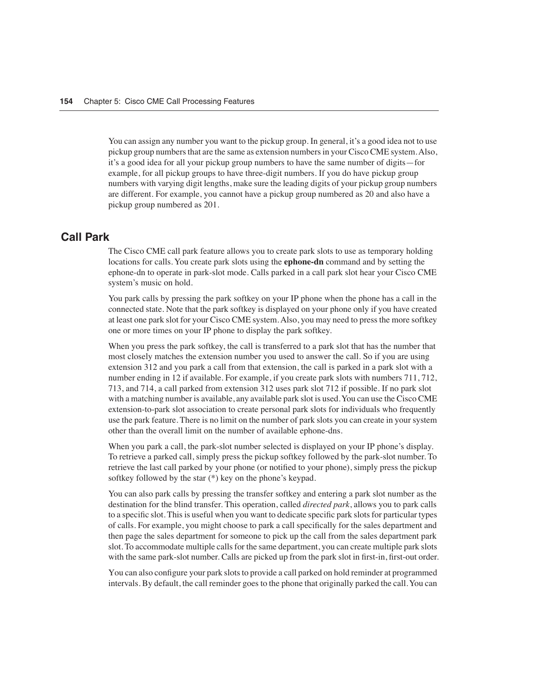You can assign any number you want to the pickup group. In general, it's a good idea not to use pickup group numbers that are the same as extension numbers in your Cisco CME system. Also, it's a good idea for all your pickup group numbers to have the same number of digits—for example, for all pickup groups to have three-digit numbers. If you do have pickup group numbers with varying digit lengths, make sure the leading digits of your pickup group numbers are different. For example, you cannot have a pickup group numbered as 20 and also have a pickup group numbered as 201.

#### **Call Park**

The Cisco CME call park feature allows you to create park slots to use as temporary holding locations for calls. You create park slots using the **ephone-dn** command and by setting the ephone-dn to operate in park-slot mode. Calls parked in a call park slot hear your Cisco CME system's music on hold.

You park calls by pressing the park softkey on your IP phone when the phone has a call in the connected state. Note that the park softkey is displayed on your phone only if you have created at least one park slot for your Cisco CME system. Also, you may need to press the more softkey one or more times on your IP phone to display the park softkey.

When you press the park softkey, the call is transferred to a park slot that has the number that most closely matches the extension number you used to answer the call. So if you are using extension 312 and you park a call from that extension, the call is parked in a park slot with a number ending in 12 if available. For example, if you create park slots with numbers 711, 712, 713, and 714, a call parked from extension 312 uses park slot 712 if possible. If no park slot with a matching number is available, any available park slot is used. You can use the Cisco CME extension-to-park slot association to create personal park slots for individuals who frequently use the park feature. There is no limit on the number of park slots you can create in your system other than the overall limit on the number of available ephone-dns.

When you park a call, the park-slot number selected is displayed on your IP phone's display. To retrieve a parked call, simply press the pickup softkey followed by the park-slot number. To retrieve the last call parked by your phone (or notified to your phone), simply press the pickup softkey followed by the star (\*) key on the phone's keypad.

You can also park calls by pressing the transfer softkey and entering a park slot number as the destination for the blind transfer. This operation, called *directed park*, allows you to park calls to a specific slot. This is useful when you want to dedicate specific park slots for particular types of calls. For example, you might choose to park a call specifically for the sales department and then page the sales department for someone to pick up the call from the sales department park slot. To accommodate multiple calls for the same department, you can create multiple park slots with the same park-slot number. Calls are picked up from the park slot in first-in, first-out order.

You can also configure your park slots to provide a call parked on hold reminder at programmed intervals. By default, the call reminder goes to the phone that originally parked the call. You can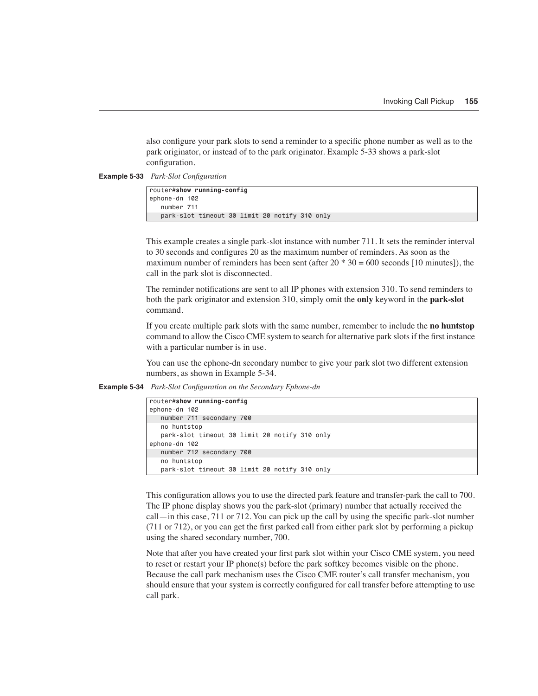also configure your park slots to send a reminder to a specific phone number as well as to the park originator, or instead of to the park originator. Example 5-33 shows a park-slot configuration.

**Example 5-33** *Park-Slot Configuration*

| router#show running-config                    |  |
|-----------------------------------------------|--|
| ephone-dn 102                                 |  |
| number 711                                    |  |
| park-slot timeout 30 limit 20 notify 310 only |  |

This example creates a single park-slot instance with number 711. It sets the reminder interval to 30 seconds and configures 20 as the maximum number of reminders. As soon as the maximum number of reminders has been sent (after  $20 * 30 = 600$  seconds [10 minutes]), the call in the park slot is disconnected.

The reminder notifications are sent to all IP phones with extension 310. To send reminders to both the park originator and extension 310, simply omit the **only** keyword in the **park-slot** command.

If you create multiple park slots with the same number, remember to include the **no huntstop** command to allow the Cisco CME system to search for alternative park slots if the first instance with a particular number is in use.

You can use the ephone-dn secondary number to give your park slot two different extension numbers, as shown in Example 5-34.

**Example 5-34** *Park-Slot Configuration on the Secondary Ephone-dn*

| router#show running-confiq                    |
|-----------------------------------------------|
| ephone-dn 102                                 |
| number 711 secondary 700                      |
| no huntstop                                   |
| park-slot timeout 30 limit 20 notify 310 only |
| ephone-dn 102                                 |
| number 712 secondary 700                      |
| no huntstop                                   |
| park-slot timeout 30 limit 20 notify 310 only |

This configuration allows you to use the directed park feature and transfer-park the call to 700. The IP phone display shows you the park-slot (primary) number that actually received the call—in this case, 711 or 712. You can pick up the call by using the specific park-slot number (711 or 712), or you can get the first parked call from either park slot by performing a pickup using the shared secondary number, 700.

Note that after you have created your first park slot within your Cisco CME system, you need to reset or restart your IP phone(s) before the park softkey becomes visible on the phone. Because the call park mechanism uses the Cisco CME router's call transfer mechanism, you should ensure that your system is correctly configured for call transfer before attempting to use call park.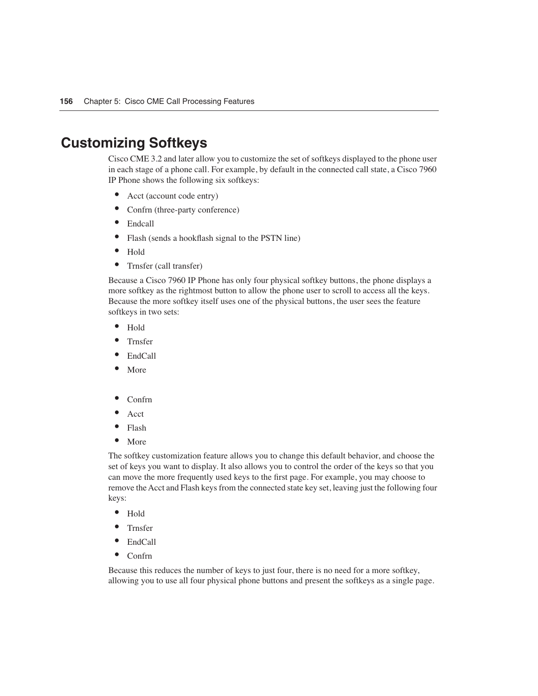## **Customizing Softkeys**

Cisco CME 3.2 and later allow you to customize the set of softkeys displayed to the phone user in each stage of a phone call. For example, by default in the connected call state, a Cisco 7960 IP Phone shows the following six softkeys:

- Acct (account code entry)
- Confrn (three-party conference)
- Endcall
- Flash (sends a hookflash signal to the PSTN line)
- Hold
- Trnsfer (call transfer)

Because a Cisco 7960 IP Phone has only four physical softkey buttons, the phone displays a more softkey as the rightmost button to allow the phone user to scroll to access all the keys. Because the more softkey itself uses one of the physical buttons, the user sees the feature softkeys in two sets:

- Hold
- Trnsfer
- EndCall
- **More**
- Confrn
- Acct
- Flash
- More

The softkey customization feature allows you to change this default behavior, and choose the set of keys you want to display. It also allows you to control the order of the keys so that you can move the more frequently used keys to the first page. For example, you may choose to remove the Acct and Flash keys from the connected state key set, leaving just the following four keys:

- Hold
- Trnsfer
- EndCall
- Confrn

Because this reduces the number of keys to just four, there is no need for a more softkey, allowing you to use all four physical phone buttons and present the softkeys as a single page.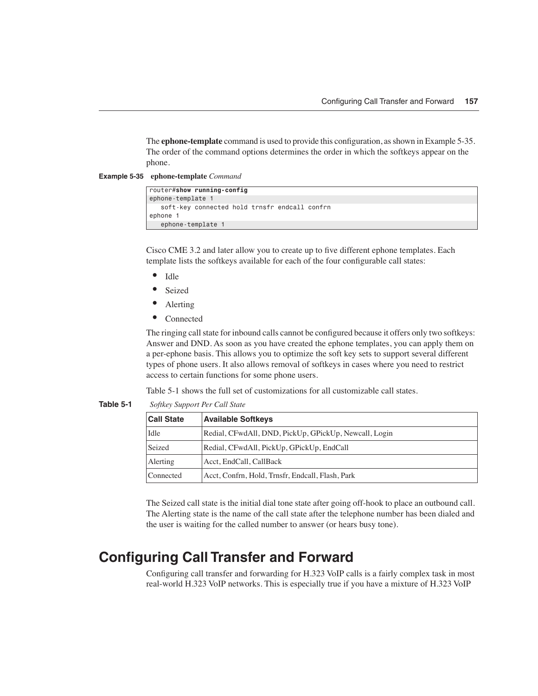The **ephone-template** command is used to provide this configuration, as shown in Example 5-35. The order of the command options determines the order in which the softkeys appear on the phone.

**Example 5-35 ephone-template** *Command*

| router#show running-config |                                               |  |  |  |  |
|----------------------------|-----------------------------------------------|--|--|--|--|
| ephone-template 1          |                                               |  |  |  |  |
|                            | soft-key connected hold trnsfr endcall confrn |  |  |  |  |
| ephone 1                   |                                               |  |  |  |  |
| ephone-template 1          |                                               |  |  |  |  |

Cisco CME 3.2 and later allow you to create up to five different ephone templates. Each template lists the softkeys available for each of the four configurable call states:

- Idle
- Seized
- Alerting
- Connected

The ringing call state for inbound calls cannot be configured because it offers only two softkeys: Answer and DND. As soon as you have created the ephone templates, you can apply them on a per-ephone basis. This allows you to optimize the soft key sets to support several different types of phone users. It also allows removal of softkeys in cases where you need to restrict access to certain functions for some phone users.

Table 5-1 shows the full set of customizations for all customizable call states.

**Table 5-1** *Softkey Support Per Call State*

| <b>Call State</b> | <b>Available Softkeys</b>                             |
|-------------------|-------------------------------------------------------|
| Idle              | Redial, CFwdAll, DND, PickUp, GPickUp, Newcall, Login |
| Seized            | Redial, CFwdAll, PickUp, GPickUp, EndCall             |
| Alerting          | Acct, EndCall, CallBack                               |
| Connected         | Acct, Confrn, Hold, Trnsfr, Endcall, Flash, Park      |

The Seized call state is the initial dial tone state after going off-hook to place an outbound call. The Alerting state is the name of the call state after the telephone number has been dialed and the user is waiting for the called number to answer (or hears busy tone).

## **Configuring Call Transfer and Forward**

Configuring call transfer and forwarding for H.323 VoIP calls is a fairly complex task in most real-world H.323 VoIP networks. This is especially true if you have a mixture of H.323 VoIP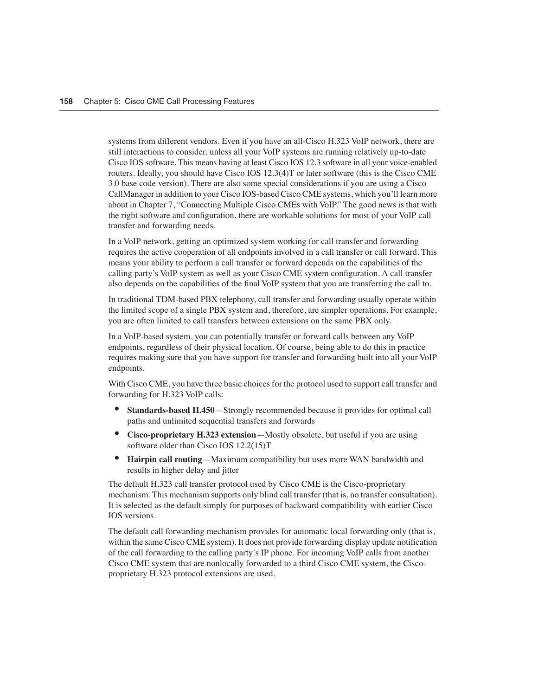systems from different vendors. Even if you have an all-Cisco H.323 VoIP network, there are still interactions to consider, unless all your VoIP systems are running relatively up-to-date Cisco IOS software. This means having at least Cisco IOS 12.3 software in all your voice-enabled routers. Ideally, you should have Cisco IOS 12.3(4)T or later software (this is the Cisco CME 3.0 base code version). There are also some special considerations if you are using a Cisco CallManager in addition to your Cisco IOS-based Cisco CME systems, which you'll learn more about in Chapter 7, "Connecting Multiple Cisco CMEs with VoIP." The good news is that with the right software and configuration, there are workable solutions for most of your VoIP call transfer and forwarding needs.

In a VoIP network, getting an optimized system working for call transfer and forwarding requires the active cooperation of all endpoints involved in a call transfer or call forward. This means your ability to perform a call transfer or forward depends on the capabilities of the calling party's VoIP system as well as your Cisco CME system configuration. A call transfer also depends on the capabilities of the final VoIP system that you are transferring the call to.

In traditional TDM-based PBX telephony, call transfer and forwarding usually operate within the limited scope of a single PBX system and, therefore, are simpler operations. For example, you are often limited to call transfers between extensions on the same PBX only.

In a VoIP-based system, you can potentially transfer or forward calls between any VoIP endpoints, regardless of their physical location. Of course, being able to do this in practice requires making sure that you have support for transfer and forwarding built into all your VoIP endpoints.

With Cisco CME, you have three basic choices for the protocol used to support call transfer and forwarding for H.323 VoIP calls:

- **Standards-based H.450**—Strongly recommended because it provides for optimal call paths and unlimited sequential transfers and forwards
- **Cisco-proprietary H.323 extension**—Mostly obsolete, but useful if you are using software older than Cisco IOS 12.2(15)T
- **Hairpin call routing**—Maximum compatibility but uses more WAN bandwidth and results in higher delay and jitter

The default H.323 call transfer protocol used by Cisco CME is the Cisco-proprietary mechanism. This mechanism supports only blind call transfer (that is, no transfer consultation). It is selected as the default simply for purposes of backward compatibility with earlier Cisco IOS versions.

The default call forwarding mechanism provides for automatic local forwarding only (that is, within the same Cisco CME system). It does not provide forwarding display update notification of the call forwarding to the calling party's IP phone. For incoming VoIP calls from another Cisco CME system that are nonlocally forwarded to a third Cisco CME system, the Ciscoproprietary H.323 protocol extensions are used.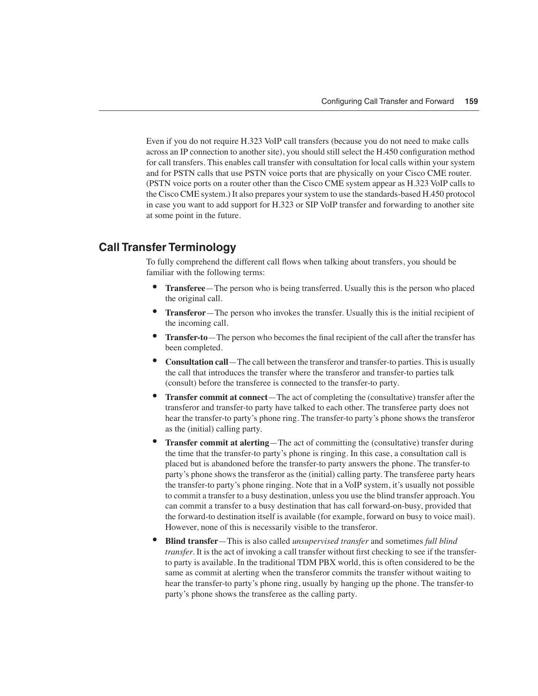Even if you do not require H.323 VoIP call transfers (because you do not need to make calls across an IP connection to another site), you should still select the H.450 configuration method for call transfers. This enables call transfer with consultation for local calls within your system and for PSTN calls that use PSTN voice ports that are physically on your Cisco CME router. (PSTN voice ports on a router other than the Cisco CME system appear as H.323 VoIP calls to the Cisco CME system.) It also prepares your system to use the standards-based H.450 protocol in case you want to add support for H.323 or SIP VoIP transfer and forwarding to another site at some point in the future.

#### **Call Transfer Terminology**

To fully comprehend the different call flows when talking about transfers, you should be familiar with the following terms:

- **Transferee**—The person who is being transferred. Usually this is the person who placed the original call.
- **Transferor**—The person who invokes the transfer. Usually this is the initial recipient of the incoming call.
- **Transfer-to**—The person who becomes the final recipient of the call after the transfer has been completed.
- **Consultation call**—The call between the transferor and transfer-to parties. This is usually the call that introduces the transfer where the transferor and transfer-to parties talk (consult) before the transferee is connected to the transfer-to party.
- **Transfer commit at connect**—The act of completing the (consultative) transfer after the transferor and transfer-to party have talked to each other. The transferee party does not hear the transfer-to party's phone ring. The transfer-to party's phone shows the transferor as the (initial) calling party.
- **Transfer commit at alerting**—The act of committing the (consultative) transfer during the time that the transfer-to party's phone is ringing. In this case, a consultation call is placed but is abandoned before the transfer-to party answers the phone. The transfer-to party's phone shows the transferor as the (initial) calling party. The transferee party hears the transfer-to party's phone ringing. Note that in a VoIP system, it's usually not possible to commit a transfer to a busy destination, unless you use the blind transfer approach. You can commit a transfer to a busy destination that has call forward-on-busy, provided that the forward-to destination itself is available (for example, forward on busy to voice mail). However, none of this is necessarily visible to the transferor.
- **Blind transfer**—This is also called *unsupervised transfer* and sometimes *full blind transfer*. It is the act of invoking a call transfer without first checking to see if the transferto party is available. In the traditional TDM PBX world, this is often considered to be the same as commit at alerting when the transferor commits the transfer without waiting to hear the transfer-to party's phone ring, usually by hanging up the phone. The transfer-to party's phone shows the transferee as the calling party.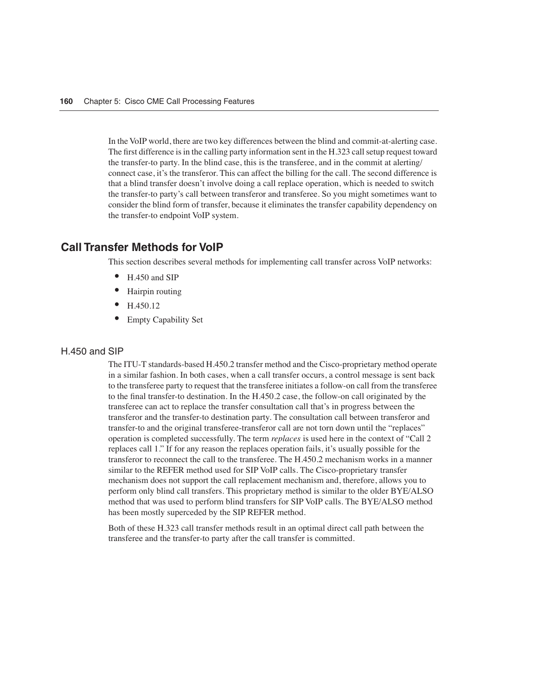In the VoIP world, there are two key differences between the blind and commit-at-alerting case. The first difference is in the calling party information sent in the H.323 call setup request toward the transfer-to party. In the blind case, this is the transferee, and in the commit at alerting/ connect case, it's the transferor. This can affect the billing for the call. The second difference is that a blind transfer doesn't involve doing a call replace operation, which is needed to switch the transfer-to party's call between transferor and transferee. So you might sometimes want to consider the blind form of transfer, because it eliminates the transfer capability dependency on the transfer-to endpoint VoIP system.

#### **Call Transfer Methods for VoIP**

This section describes several methods for implementing call transfer across VoIP networks:

- H.450 and SIP
- Hairpin routing
- H.450.12
- Empty Capability Set

#### H.450 and SIP

The ITU-T standards-based H.450.2 transfer method and the Cisco-proprietary method operate in a similar fashion. In both cases, when a call transfer occurs, a control message is sent back to the transferee party to request that the transferee initiates a follow-on call from the transferee to the final transfer-to destination. In the H.450.2 case, the follow-on call originated by the transferee can act to replace the transfer consultation call that's in progress between the transferor and the transfer-to destination party. The consultation call between transferor and transfer-to and the original transferee-transferor call are not torn down until the "replaces" operation is completed successfully. The term *replaces* is used here in the context of "Call 2 replaces call 1." If for any reason the replaces operation fails, it's usually possible for the transferor to reconnect the call to the transferee. The H.450.2 mechanism works in a manner similar to the REFER method used for SIP VoIP calls. The Cisco-proprietary transfer mechanism does not support the call replacement mechanism and, therefore, allows you to perform only blind call transfers. This proprietary method is similar to the older BYE/ALSO method that was used to perform blind transfers for SIP VoIP calls. The BYE/ALSO method has been mostly superceded by the SIP REFER method.

Both of these H.323 call transfer methods result in an optimal direct call path between the transferee and the transfer-to party after the call transfer is committed.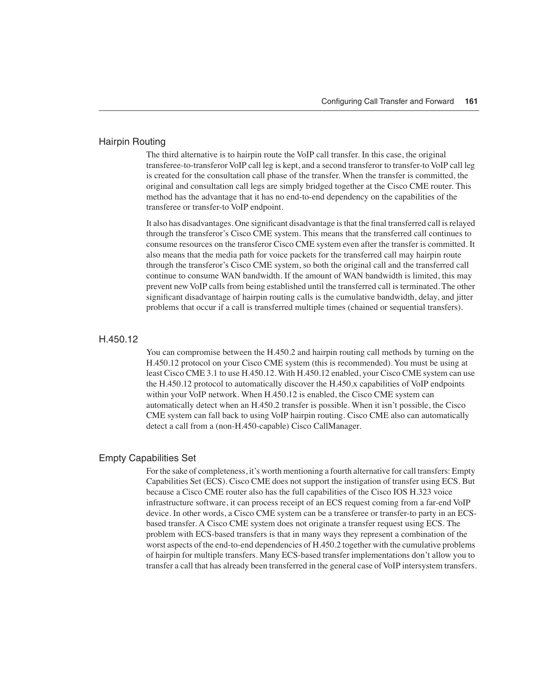#### Hairpin Routing

The third alternative is to hairpin route the VoIP call transfer. In this case, the original transferee-to-transferor VoIP call leg is kept, and a second transferor to transfer-to VoIP call leg is created for the consultation call phase of the transfer. When the transfer is committed, the original and consultation call legs are simply bridged together at the Cisco CME router. This method has the advantage that it has no end-to-end dependency on the capabilities of the transferee or transfer-to VoIP endpoint.

It also has disadvantages. One significant disadvantage is that the final transferred call is relayed through the transferor's Cisco CME system. This means that the transferred call continues to consume resources on the transferor Cisco CME system even after the transfer is committed. It also means that the media path for voice packets for the transferred call may hairpin route through the transferor's Cisco CME system, so both the original call and the transferred call continue to consume WAN bandwidth. If the amount of WAN bandwidth is limited, this may prevent new VoIP calls from being established until the transferred call is terminated. The other significant disadvantage of hairpin routing calls is the cumulative bandwidth, delay, and jitter problems that occur if a call is transferred multiple times (chained or sequential transfers).

#### H.450.12

You can compromise between the H.450.2 and hairpin routing call methods by turning on the H.450.12 protocol on your Cisco CME system (this is recommended). You must be using at least Cisco CME 3.1 to use H.450.12. With H.450.12 enabled, your Cisco CME system can use the H.450.12 protocol to automatically discover the H.450.x capabilities of VoIP endpoints within your VoIP network. When H.450.12 is enabled, the Cisco CME system can automatically detect when an H.450.2 transfer is possible. When it isn't possible, the Cisco CME system can fall back to using VoIP hairpin routing. Cisco CME also can automatically detect a call from a (non-H.450-capable) Cisco CallManager.

#### Empty Capabilities Set

For the sake of completeness, it's worth mentioning a fourth alternative for call transfers: Empty Capabilities Set (ECS). Cisco CME does not support the instigation of transfer using ECS. But because a Cisco CME router also has the full capabilities of the Cisco IOS H.323 voice infrastructure software, it can process receipt of an ECS request coming from a far-end VoIP device. In other words, a Cisco CME system can be a transferee or transfer-to party in an ECSbased transfer. A Cisco CME system does not originate a transfer request using ECS. The problem with ECS-based transfers is that in many ways they represent a combination of the worst aspects of the end-to-end dependencies of H.450.2 together with the cumulative problems of hairpin for multiple transfers. Many ECS-based transfer implementations don't allow you to transfer a call that has already been transferred in the general case of VoIP intersystem transfers.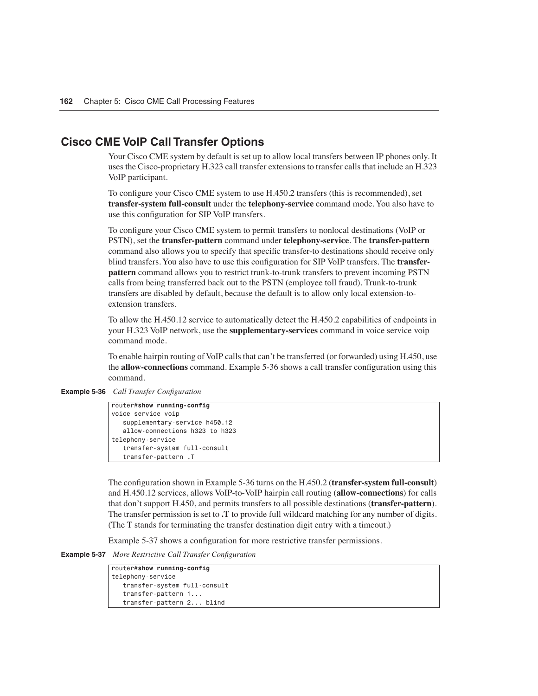#### **Cisco CME VoIP Call Transfer Options**

Your Cisco CME system by default is set up to allow local transfers between IP phones only. It uses the Cisco-proprietary H.323 call transfer extensions to transfer calls that include an H.323 VoIP participant.

To configure your Cisco CME system to use H.450.2 transfers (this is recommended), set **transfer-system full-consult** under the **telephony-service** command mode. You also have to use this configuration for SIP VoIP transfers.

To configure your Cisco CME system to permit transfers to nonlocal destinations (VoIP or PSTN), set the **transfer-pattern** command under **telephony-service**. The **transfer-pattern** command also allows you to specify that specific transfer-to destinations should receive only blind transfers. You also have to use this configuration for SIP VoIP transfers. The **transferpattern** command allows you to restrict trunk-to-trunk transfers to prevent incoming PSTN calls from being transferred back out to the PSTN (employee toll fraud). Trunk-to-trunk transfers are disabled by default, because the default is to allow only local extension-toextension transfers.

To allow the H.450.12 service to automatically detect the H.450.2 capabilities of endpoints in your H.323 VoIP network, use the **supplementary-services** command in voice service voip command mode.

To enable hairpin routing of VoIP calls that can't be transferred (or forwarded) using H.450, use the **allow-connections** command. Example 5-36 shows a call transfer configuration using this command.

**Example 5-36** *Call Transfer Configuration*

```
router#show running-config
voice service voip
    supplementary-service h450.12
    allow-connections h323 to h323
telephony-service
    transfer-system full-consult
    transfer-pattern .T
```
The configuration shown in Example 5-36 turns on the H.450.2 (**transfer-system full-consult**) and H.450.12 services, allows VoIP-to-VoIP hairpin call routing (**allow-connections**) for calls that don't support H.450, and permits transfers to all possible destinations (**transfer-pattern**). The transfer permission is set to **.T** to provide full wildcard matching for any number of digits. (The T stands for terminating the transfer destination digit entry with a timeout.)

Example 5-37 shows a configuration for more restrictive transfer permissions.

**Example 5-37** *More Restrictive Call Transfer Configuration*

| router#show running-config   |
|------------------------------|
| telephony-service            |
| transfer-system full-consult |
| transfer-pattern 1           |
| transfer-pattern 2 blind     |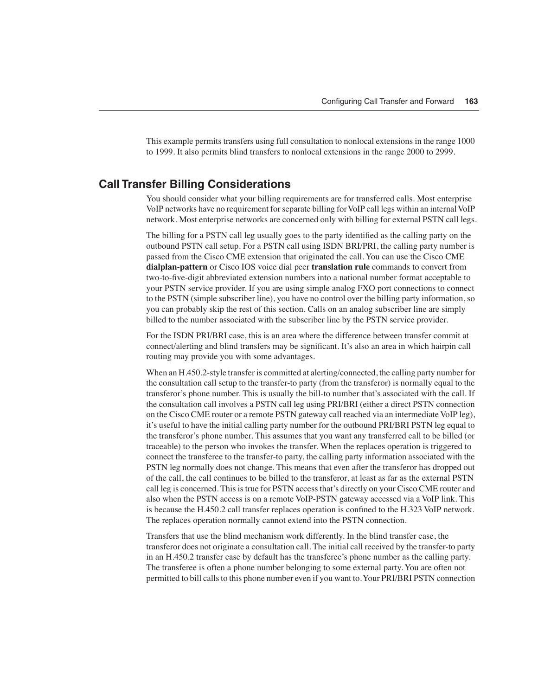This example permits transfers using full consultation to nonlocal extensions in the range 1000 to 1999. It also permits blind transfers to nonlocal extensions in the range 2000 to 2999.

#### **Call Transfer Billing Considerations**

You should consider what your billing requirements are for transferred calls. Most enterprise VoIP networks have no requirement for separate billing for VoIP call legs within an internal VoIP network. Most enterprise networks are concerned only with billing for external PSTN call legs.

The billing for a PSTN call leg usually goes to the party identified as the calling party on the outbound PSTN call setup. For a PSTN call using ISDN BRI/PRI, the calling party number is passed from the Cisco CME extension that originated the call. You can use the Cisco CME **dialplan-pattern** or Cisco IOS voice dial peer **translation rule** commands to convert from two-to-five-digit abbreviated extension numbers into a national number format acceptable to your PSTN service provider. If you are using simple analog FXO port connections to connect to the PSTN (simple subscriber line), you have no control over the billing party information, so you can probably skip the rest of this section. Calls on an analog subscriber line are simply billed to the number associated with the subscriber line by the PSTN service provider.

For the ISDN PRI/BRI case, this is an area where the difference between transfer commit at connect/alerting and blind transfers may be significant. It's also an area in which hairpin call routing may provide you with some advantages.

When an H.450.2-style transfer is committed at alerting/connected, the calling party number for the consultation call setup to the transfer-to party (from the transferor) is normally equal to the transferor's phone number. This is usually the bill-to number that's associated with the call. If the consultation call involves a PSTN call leg using PRI/BRI (either a direct PSTN connection on the Cisco CME router or a remote PSTN gateway call reached via an intermediate VoIP leg), it's useful to have the initial calling party number for the outbound PRI/BRI PSTN leg equal to the transferor's phone number. This assumes that you want any transferred call to be billed (or traceable) to the person who invokes the transfer. When the replaces operation is triggered to connect the transferee to the transfer-to party, the calling party information associated with the PSTN leg normally does not change. This means that even after the transferor has dropped out of the call, the call continues to be billed to the transferor, at least as far as the external PSTN call leg is concerned. This is true for PSTN access that's directly on your Cisco CME router and also when the PSTN access is on a remote VoIP-PSTN gateway accessed via a VoIP link. This is because the H.450.2 call transfer replaces operation is confined to the H.323 VoIP network. The replaces operation normally cannot extend into the PSTN connection.

Transfers that use the blind mechanism work differently. In the blind transfer case, the transferor does not originate a consultation call. The initial call received by the transfer-to party in an H.450.2 transfer case by default has the transferee's phone number as the calling party. The transferee is often a phone number belonging to some external party. You are often not permitted to bill calls to this phone number even if you want to. Your PRI/BRI PSTN connection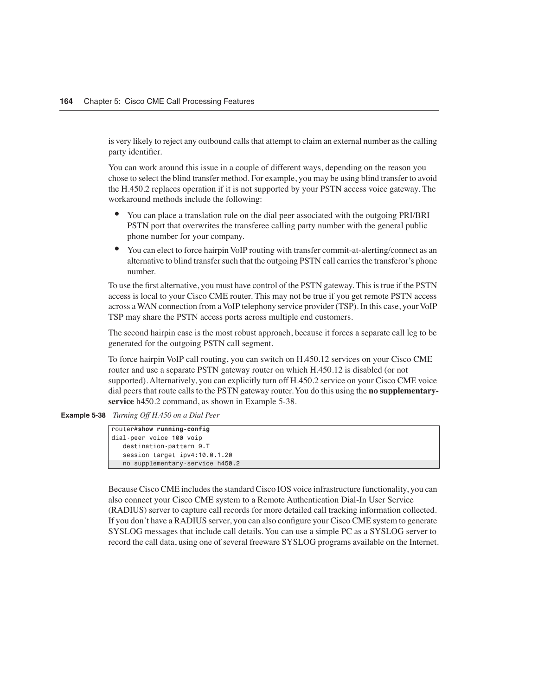is very likely to reject any outbound calls that attempt to claim an external number as the calling party identifier.

You can work around this issue in a couple of different ways, depending on the reason you chose to select the blind transfer method. For example, you may be using blind transfer to avoid the H.450.2 replaces operation if it is not supported by your PSTN access voice gateway. The workaround methods include the following:

- You can place a translation rule on the dial peer associated with the outgoing PRI/BRI PSTN port that overwrites the transferee calling party number with the general public phone number for your company.
- You can elect to force hairpin VoIP routing with transfer commit-at-alerting/connect as an alternative to blind transfer such that the outgoing PSTN call carries the transferor's phone number.

To use the first alternative, you must have control of the PSTN gateway. This is true if the PSTN access is local to your Cisco CME router. This may not be true if you get remote PSTN access across a WAN connection from a VoIP telephony service provider (TSP). In this case, your VoIP TSP may share the PSTN access ports across multiple end customers.

The second hairpin case is the most robust approach, because it forces a separate call leg to be generated for the outgoing PSTN call segment.

To force hairpin VoIP call routing, you can switch on H.450.12 services on your Cisco CME router and use a separate PSTN gateway router on which H.450.12 is disabled (or not supported). Alternatively, you can explicitly turn off H.450.2 service on your Cisco CME voice dial peers that route calls to the PSTN gateway router. You do this using the **no supplementaryservice** h450.2 command, as shown in Example 5-38.

**Example 5-38** *Turning Off H.450 on a Dial Peer*

| router#show running-config      |
|---------------------------------|
| dial-peer voice 100 voip        |
| destination-pattern 9.T         |
| session target ipv4:10.0.1.20   |
| no supplementary-service h450.2 |

Because Cisco CME includes the standard Cisco IOS voice infrastructure functionality, you can also connect your Cisco CME system to a Remote Authentication Dial-In User Service (RADIUS) server to capture call records for more detailed call tracking information collected. If you don't have a RADIUS server, you can also configure your Cisco CME system to generate SYSLOG messages that include call details. You can use a simple PC as a SYSLOG server to record the call data, using one of several freeware SYSLOG programs available on the Internet.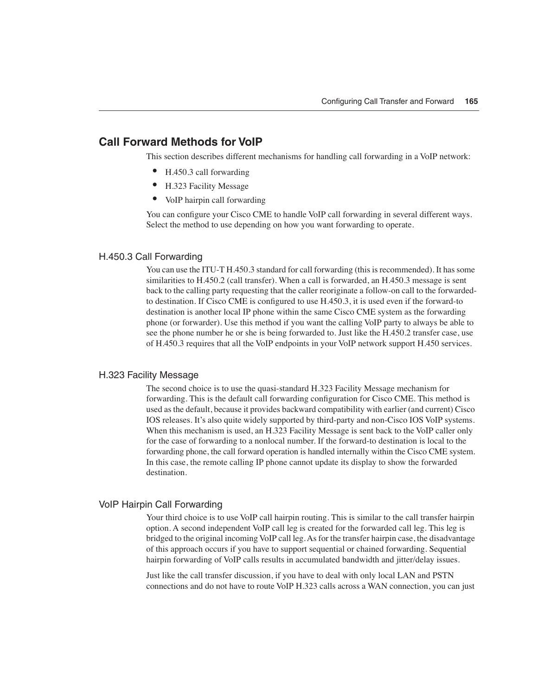#### **Call Forward Methods for VoIP**

This section describes different mechanisms for handling call forwarding in a VoIP network:

- H.450.3 call forwarding
- H.323 Facility Message
- VoIP hairpin call forwarding

You can configure your Cisco CME to handle VoIP call forwarding in several different ways. Select the method to use depending on how you want forwarding to operate.

#### H.450.3 Call Forwarding

You can use the ITU-T H.450.3 standard for call forwarding (this is recommended). It has some similarities to H.450.2 (call transfer). When a call is forwarded, an H.450.3 message is sent back to the calling party requesting that the caller reoriginate a follow-on call to the forwardedto destination. If Cisco CME is configured to use H.450.3, it is used even if the forward-to destination is another local IP phone within the same Cisco CME system as the forwarding phone (or forwarder). Use this method if you want the calling VoIP party to always be able to see the phone number he or she is being forwarded to. Just like the H.450.2 transfer case, use of H.450.3 requires that all the VoIP endpoints in your VoIP network support H.450 services.

#### H.323 Facility Message

The second choice is to use the quasi-standard H.323 Facility Message mechanism for forwarding. This is the default call forwarding configuration for Cisco CME. This method is used as the default, because it provides backward compatibility with earlier (and current) Cisco IOS releases. It's also quite widely supported by third-party and non-Cisco IOS VoIP systems. When this mechanism is used, an H.323 Facility Message is sent back to the VoIP caller only for the case of forwarding to a nonlocal number. If the forward-to destination is local to the forwarding phone, the call forward operation is handled internally within the Cisco CME system. In this case, the remote calling IP phone cannot update its display to show the forwarded destination.

#### VoIP Hairpin Call Forwarding

Your third choice is to use VoIP call hairpin routing. This is similar to the call transfer hairpin option. A second independent VoIP call leg is created for the forwarded call leg. This leg is bridged to the original incoming VoIP call leg. As for the transfer hairpin case, the disadvantage of this approach occurs if you have to support sequential or chained forwarding. Sequential hairpin forwarding of VoIP calls results in accumulated bandwidth and jitter/delay issues.

Just like the call transfer discussion, if you have to deal with only local LAN and PSTN connections and do not have to route VoIP H.323 calls across a WAN connection, you can just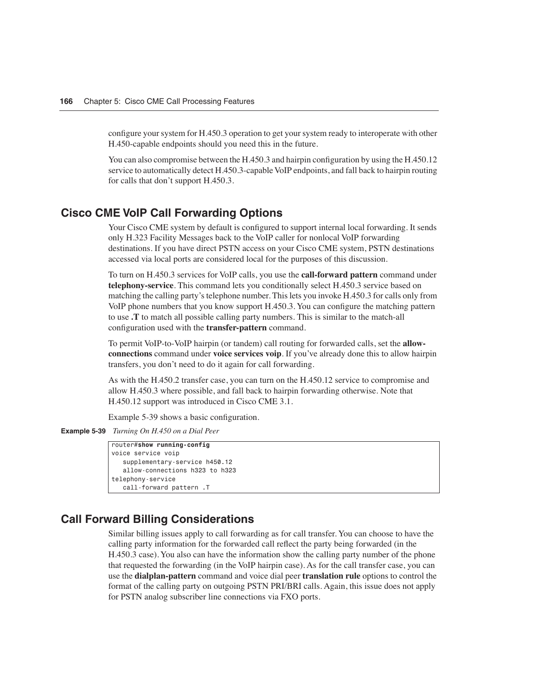configure your system for H.450.3 operation to get your system ready to interoperate with other H.450-capable endpoints should you need this in the future.

You can also compromise between the H.450.3 and hairpin configuration by using the H.450.12 service to automatically detect H.450.3-capable VoIP endpoints, and fall back to hairpin routing for calls that don't support H.450.3.

#### **Cisco CME VoIP Call Forwarding Options**

Your Cisco CME system by default is configured to support internal local forwarding. It sends only H.323 Facility Messages back to the VoIP caller for nonlocal VoIP forwarding destinations. If you have direct PSTN access on your Cisco CME system, PSTN destinations accessed via local ports are considered local for the purposes of this discussion.

To turn on H.450.3 services for VoIP calls, you use the **call-forward pattern** command under **telephony-service**. This command lets you conditionally select H.450.3 service based on matching the calling party's telephone number. This lets you invoke H.450.3 for calls only from VoIP phone numbers that you know support H.450.3. You can configure the matching pattern to use **.T** to match all possible calling party numbers. This is similar to the match-all configuration used with the **transfer-pattern** command.

To permit VoIP-to-VoIP hairpin (or tandem) call routing for forwarded calls, set the **allowconnections** command under **voice services voip**. If you've already done this to allow hairpin transfers, you don't need to do it again for call forwarding.

As with the H.450.2 transfer case, you can turn on the H.450.12 service to compromise and allow H.450.3 where possible, and fall back to hairpin forwarding otherwise. Note that H.450.12 support was introduced in Cisco CME 3.1.

Example 5-39 shows a basic configuration.

**Example 5-39** *Turning On H.450 on a Dial Peer*

```
router#show running-config
voice service voip
    supplementary-service h450.12
    allow-connections h323 to h323
telephony-service
    call-forward pattern .T
```
#### **Call Forward Billing Considerations**

Similar billing issues apply to call forwarding as for call transfer. You can choose to have the calling party information for the forwarded call reflect the party being forwarded (in the H.450.3 case). You also can have the information show the calling party number of the phone that requested the forwarding (in the VoIP hairpin case). As for the call transfer case, you can use the **dialplan-pattern** command and voice dial peer **translation rule** options to control the format of the calling party on outgoing PSTN PRI/BRI calls. Again, this issue does not apply for PSTN analog subscriber line connections via FXO ports.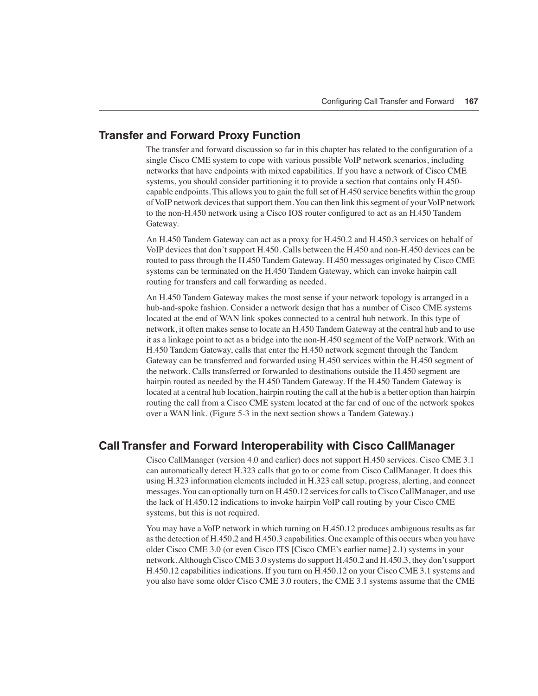#### **Transfer and Forward Proxy Function**

The transfer and forward discussion so far in this chapter has related to the configuration of a single Cisco CME system to cope with various possible VoIP network scenarios, including networks that have endpoints with mixed capabilities. If you have a network of Cisco CME systems, you should consider partitioning it to provide a section that contains only H.450 capable endpoints. This allows you to gain the full set of H.450 service benefits within the group of VoIP network devices that support them. You can then link this segment of your VoIP network to the non-H.450 network using a Cisco IOS router configured to act as an H.450 Tandem Gateway.

An H.450 Tandem Gateway can act as a proxy for H.450.2 and H.450.3 services on behalf of VoIP devices that don't support H.450. Calls between the H.450 and non-H.450 devices can be routed to pass through the H.450 Tandem Gateway. H.450 messages originated by Cisco CME systems can be terminated on the H.450 Tandem Gateway, which can invoke hairpin call routing for transfers and call forwarding as needed.

An H.450 Tandem Gateway makes the most sense if your network topology is arranged in a hub-and-spoke fashion. Consider a network design that has a number of Cisco CME systems located at the end of WAN link spokes connected to a central hub network. In this type of network, it often makes sense to locate an H.450 Tandem Gateway at the central hub and to use it as a linkage point to act as a bridge into the non-H.450 segment of the VoIP network. With an H.450 Tandem Gateway, calls that enter the H.450 network segment through the Tandem Gateway can be transferred and forwarded using H.450 services within the H.450 segment of the network. Calls transferred or forwarded to destinations outside the H.450 segment are hairpin routed as needed by the H.450 Tandem Gateway. If the H.450 Tandem Gateway is located at a central hub location, hairpin routing the call at the hub is a better option than hairpin routing the call from a Cisco CME system located at the far end of one of the network spokes over a WAN link. (Figure 5-3 in the next section shows a Tandem Gateway.)

#### **Call Transfer and Forward Interoperability with Cisco CallManager**

Cisco CallManager (version 4.0 and earlier) does not support H.450 services. Cisco CME 3.1 can automatically detect H.323 calls that go to or come from Cisco CallManager. It does this using H.323 information elements included in H.323 call setup, progress, alerting, and connect messages. You can optionally turn on H.450.12 services for calls to Cisco CallManager, and use the lack of H.450.12 indications to invoke hairpin VoIP call routing by your Cisco CME systems, but this is not required.

You may have a VoIP network in which turning on H.450.12 produces ambiguous results as far as the detection of H.450.2 and H.450.3 capabilities. One example of this occurs when you have older Cisco CME 3.0 (or even Cisco ITS [Cisco CME's earlier name] 2.1) systems in your network. Although Cisco CME 3.0 systems do support H.450.2 and H.450.3, they don't support H.450.12 capabilities indications. If you turn on H.450.12 on your Cisco CME 3.1 systems and you also have some older Cisco CME 3.0 routers, the CME 3.1 systems assume that the CME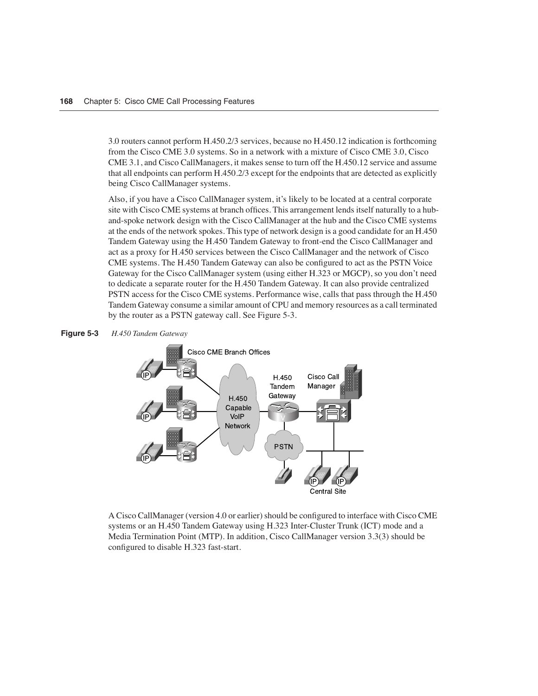3.0 routers cannot perform H.450.2/3 services, because no H.450.12 indication is forthcoming from the Cisco CME 3.0 systems. So in a network with a mixture of Cisco CME 3.0, Cisco CME 3.1, and Cisco CallManagers, it makes sense to turn off the H.450.12 service and assume that all endpoints can perform H.450.2/3 except for the endpoints that are detected as explicitly being Cisco CallManager systems.

Also, if you have a Cisco CallManager system, it's likely to be located at a central corporate site with Cisco CME systems at branch offices. This arrangement lends itself naturally to a huband-spoke network design with the Cisco CallManager at the hub and the Cisco CME systems at the ends of the network spokes. This type of network design is a good candidate for an H.450 Tandem Gateway using the H.450 Tandem Gateway to front-end the Cisco CallManager and act as a proxy for H.450 services between the Cisco CallManager and the network of Cisco CME systems. The H.450 Tandem Gateway can also be configured to act as the PSTN Voice Gateway for the Cisco CallManager system (using either H.323 or MGCP), so you don't need to dedicate a separate router for the H.450 Tandem Gateway. It can also provide centralized PSTN access for the Cisco CME systems. Performance wise, calls that pass through the H.450 Tandem Gateway consume a similar amount of CPU and memory resources as a call terminated by the router as a PSTN gateway call. See Figure 5-3.





A Cisco CallManager (version 4.0 or earlier) should be configured to interface with Cisco CME systems or an H.450 Tandem Gateway using H.323 Inter-Cluster Trunk (ICT) mode and a Media Termination Point (MTP). In addition, Cisco CallManager version 3.3(3) should be configured to disable H.323 fast-start.